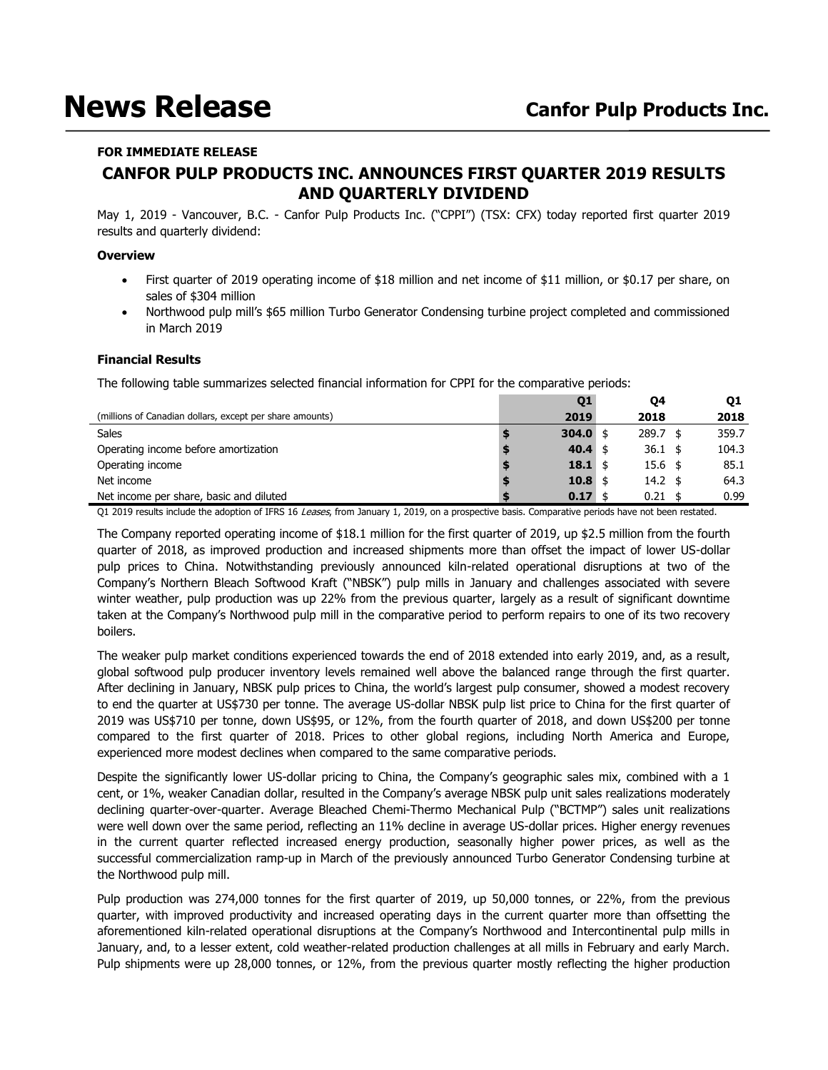# **News Release Canfor Pulp Products Inc.**

# **FOR IMMEDIATE RELEASE CANFOR PULP PRODUCTS INC. ANNOUNCES FIRST QUARTER 2019 RESULTS AND QUARTERLY DIVIDEND**

May 1, 2019 - Vancouver, B.C. - Canfor Pulp Products Inc. ("CPPI") (TSX: CFX) today reported first quarter 2019 results and quarterly dividend:

# **Overview**

- First quarter of 2019 operating income of \$18 million and net income of \$11 million, or \$0.17 per share, on sales of \$304 million
- Northwood pulp mill's \$65 million Turbo Generator Condensing turbine project completed and commissioned in March 2019

# **Financial Results**

The following table summarizes selected financial information for CPPI for the comparative periods:

|                                                          | Q1           | 04                 | 01    |
|----------------------------------------------------------|--------------|--------------------|-------|
| (millions of Canadian dollars, except per share amounts) | 2019         | 2018               | 2018  |
| Sales                                                    | $304.0$ \$   | $289.7$ \$         | 359.7 |
| Operating income before amortization                     | 40.4 \$      | $36.1 \text{ }$ \$ | 104.3 |
| Operating income                                         | $18.1 \;$ \$ | $15.6 \text{ }$    | 85.1  |
| Net income                                               | $10.8 \;$ \$ | $14.2 \text{ }$    | 64.3  |
| Net income per share, basic and diluted                  | $0.17$ \$    | 0.21               | 0.99  |

Q1 2019 results include the adoption of IFRS 16 Leases, from January 1, 2019, on a prospective basis. Comparative periods have not been restated.

The Company reported operating income of \$18.1 million for the first quarter of 2019, up \$2.5 million from the fourth quarter of 2018, as improved production and increased shipments more than offset the impact of lower US-dollar pulp prices to China. Notwithstanding previously announced kiln-related operational disruptions at two of the Company's Northern Bleach Softwood Kraft ("NBSK") pulp mills in January and challenges associated with severe winter weather, pulp production was up 22% from the previous quarter, largely as a result of significant downtime taken at the Company's Northwood pulp mill in the comparative period to perform repairs to one of its two recovery boilers.

The weaker pulp market conditions experienced towards the end of 2018 extended into early 2019, and, as a result, global softwood pulp producer inventory levels remained well above the balanced range through the first quarter. After declining in January, NBSK pulp prices to China, the world's largest pulp consumer, showed a modest recovery to end the quarter at US\$730 per tonne. The average US-dollar NBSK pulp list price to China for the first quarter of 2019 was US\$710 per tonne, down US\$95, or 12%, from the fourth quarter of 2018, and down US\$200 per tonne compared to the first quarter of 2018. Prices to other global regions, including North America and Europe, experienced more modest declines when compared to the same comparative periods.

Despite the significantly lower US-dollar pricing to China, the Company's geographic sales mix, combined with a 1 cent, or 1%, weaker Canadian dollar, resulted in the Company's average NBSK pulp unit sales realizations moderately declining quarter-over-quarter. Average Bleached Chemi-Thermo Mechanical Pulp ("BCTMP") sales unit realizations were well down over the same period, reflecting an 11% decline in average US-dollar prices. Higher energy revenues in the current quarter reflected increased energy production, seasonally higher power prices, as well as the successful commercialization ramp-up in March of the previously announced Turbo Generator Condensing turbine at the Northwood pulp mill.

Pulp production was 274,000 tonnes for the first quarter of 2019, up 50,000 tonnes, or 22%, from the previous quarter, with improved productivity and increased operating days in the current quarter more than offsetting the aforementioned kiln-related operational disruptions at the Company's Northwood and Intercontinental pulp mills in January, and, to a lesser extent, cold weather-related production challenges at all mills in February and early March. Pulp shipments were up 28,000 tonnes, or 12%, from the previous quarter mostly reflecting the higher production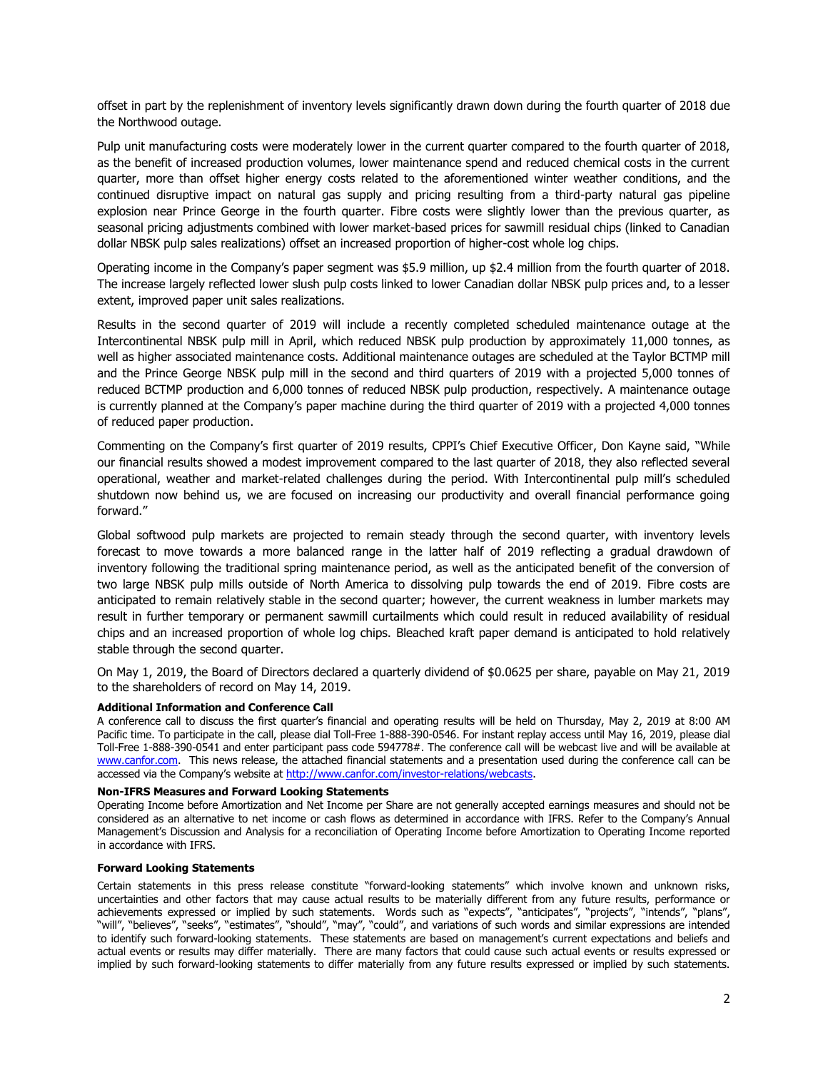offset in part by the replenishment of inventory levels significantly drawn down during the fourth quarter of 2018 due the Northwood outage.

Pulp unit manufacturing costs were moderately lower in the current quarter compared to the fourth quarter of 2018, as the benefit of increased production volumes, lower maintenance spend and reduced chemical costs in the current quarter, more than offset higher energy costs related to the aforementioned winter weather conditions, and the continued disruptive impact on natural gas supply and pricing resulting from a third-party natural gas pipeline explosion near Prince George in the fourth quarter. Fibre costs were slightly lower than the previous quarter, as seasonal pricing adjustments combined with lower market-based prices for sawmill residual chips (linked to Canadian dollar NBSK pulp sales realizations) offset an increased proportion of higher-cost whole log chips.

Operating income in the Company's paper segment was \$5.9 million, up \$2.4 million from the fourth quarter of 2018. The increase largely reflected lower slush pulp costs linked to lower Canadian dollar NBSK pulp prices and, to a lesser extent, improved paper unit sales realizations.

Results in the second quarter of 2019 will include a recently completed scheduled maintenance outage at the Intercontinental NBSK pulp mill in April, which reduced NBSK pulp production by approximately 11,000 tonnes, as well as higher associated maintenance costs. Additional maintenance outages are scheduled at the Taylor BCTMP mill and the Prince George NBSK pulp mill in the second and third quarters of 2019 with a projected 5,000 tonnes of reduced BCTMP production and 6,000 tonnes of reduced NBSK pulp production, respectively. A maintenance outage is currently planned at the Company's paper machine during the third quarter of 2019 with a projected 4,000 tonnes of reduced paper production.

Commenting on the Company's first quarter of 2019 results, CPPI's Chief Executive Officer, Don Kayne said, "While our financial results showed a modest improvement compared to the last quarter of 2018, they also reflected several operational, weather and market-related challenges during the period. With Intercontinental pulp mill's scheduled shutdown now behind us, we are focused on increasing our productivity and overall financial performance going forward."

Global softwood pulp markets are projected to remain steady through the second quarter, with inventory levels forecast to move towards a more balanced range in the latter half of 2019 reflecting a gradual drawdown of inventory following the traditional spring maintenance period, as well as the anticipated benefit of the conversion of two large NBSK pulp mills outside of North America to dissolving pulp towards the end of 2019. Fibre costs are anticipated to remain relatively stable in the second quarter; however, the current weakness in lumber markets may result in further temporary or permanent sawmill curtailments which could result in reduced availability of residual chips and an increased proportion of whole log chips. Bleached kraft paper demand is anticipated to hold relatively stable through the second quarter.

On May 1, 2019, the Board of Directors declared a quarterly dividend of \$0.0625 per share, payable on May 21, 2019 to the shareholders of record on May 14, 2019.

#### **Additional Information and Conference Call**

A conference call to discuss the first quarter's financial and operating results will be held on Thursday, May 2, 2019 at 8:00 AM Pacific time. To participate in the call, please dial Toll-Free 1-888-390-0546. For instant replay access until May 16, 2019, please dial Toll-Free 1-888-390-0541 and enter participant pass code 594778#. The conference call will be webcast live and will be available at [www.canfor.com.](http://www.canfor.com/) This news release, the attached financial statements and a presentation used during the conference call can be accessed via the Company's website at [http://www.canfor.com/investor-relations/webcasts.](http://www.canfor.com/investor-relations/webcasts)

#### **Non-IFRS Measures and Forward Looking Statements**

Operating Income before Amortization and Net Income per Share are not generally accepted earnings measures and should not be considered as an alternative to net income or cash flows as determined in accordance with IFRS. Refer to the Company's Annual Management's Discussion and Analysis for a reconciliation of Operating Income before Amortization to Operating Income reported in accordance with IFRS.

#### **Forward Looking Statements**

Certain statements in this press release constitute "forward-looking statements" which involve known and unknown risks, uncertainties and other factors that may cause actual results to be materially different from any future results, performance or achievements expressed or implied by such statements. Words such as "expects", "anticipates", "projects", "intends", "plans", "will", "believes", "seeks", "estimates", "should", "may", "could", and variations of such words and similar expressions are intended to identify such forward-looking statements. These statements are based on management's current expectations and beliefs and actual events or results may differ materially. There are many factors that could cause such actual events or results expressed or implied by such forward-looking statements to differ materially from any future results expressed or implied by such statements.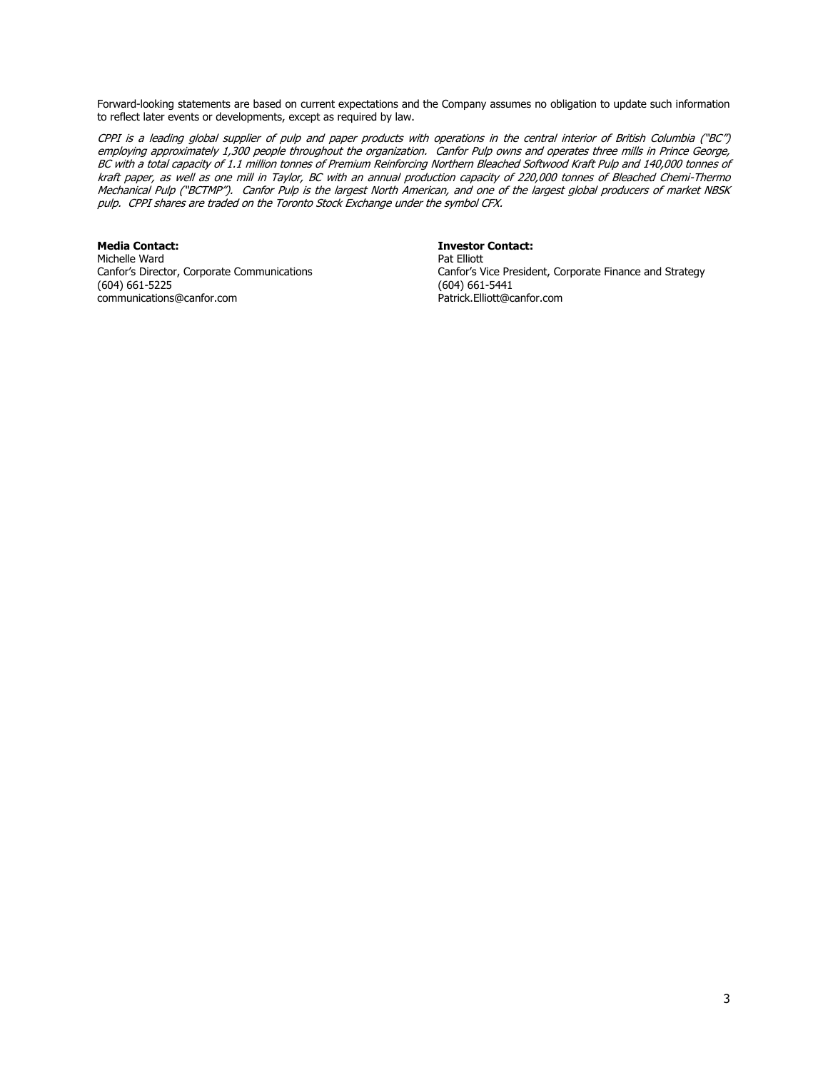Forward-looking statements are based on current expectations and the Company assumes no obligation to update such information to reflect later events or developments, except as required by law.

CPPI is a leading global supplier of pulp and paper products with operations in the central interior of British Columbia ("BC") employing approximately 1,300 people throughout the organization. Canfor Pulp owns and operates three mills in Prince George, BC with a total capacity of 1.1 million tonnes of Premium Reinforcing Northern Bleached Softwood Kraft Pulp and 140,000 tonnes of kraft paper, as well as one mill in Taylor, BC with an annual production capacity of 220,000 tonnes of Bleached Chemi-Thermo Mechanical Pulp ("BCTMP"). Canfor Pulp is the largest North American, and one of the largest global producers of market NBSK pulp. CPPI shares are traded on the Toronto Stock Exchange under the symbol CFX.

**Media Contact: Investor Contact:** Michelle Ward<br>Canfor's Director, Corporate Communications (604) 661-5225 (604) 661-5441 communications@canfor.com

Canfor's Vice President, Corporate Finance and Strategy (604) 661-5441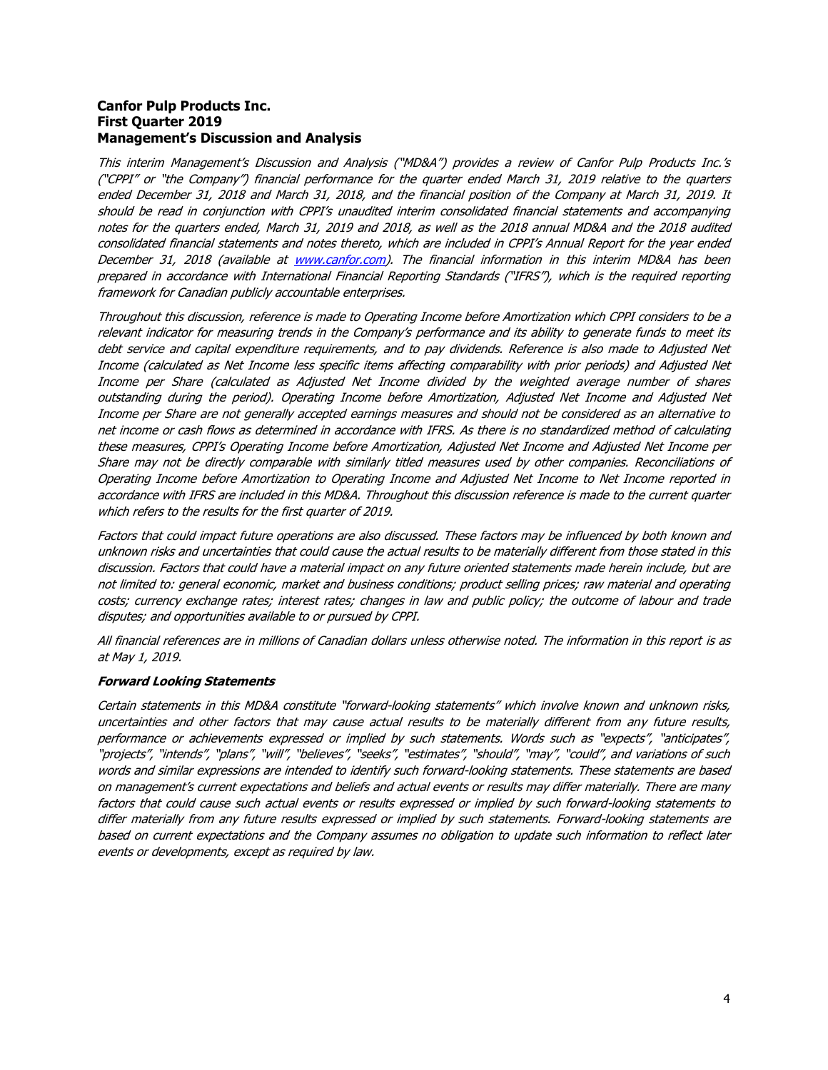# **Canfor Pulp Products Inc. First Quarter 2019 Management's Discussion and Analysis**

This interim Management's Discussion and Analysis ("MD&A") provides a review of Canfor Pulp Products Inc.'s ("CPPI" or "the Company") financial performance for the quarter ended March 31, 2019 relative to the quarters ended December 31, 2018 and March 31, 2018, and the financial position of the Company at March 31, 2019. It should be read in conjunction with CPPI's unaudited interim consolidated financial statements and accompanying notes for the quarters ended, March 31, 2019 and 2018, as well as the 2018 annual MD&A and the 2018 audited consolidated financial statements and notes thereto, which are included in CPPI's Annual Report for the year ended December 31, 2018 (available at [www.canfor.com\)](http://www.canfor.com/). The financial information in this interim MD&A has been prepared in accordance with International Financial Reporting Standards ("IFRS"), which is the required reporting framework for Canadian publicly accountable enterprises.

Throughout this discussion, reference is made to Operating Income before Amortization which CPPI considers to be a relevant indicator for measuring trends in the Company's performance and its ability to generate funds to meet its debt service and capital expenditure requirements, and to pay dividends. Reference is also made to Adjusted Net Income (calculated as Net Income less specific items affecting comparability with prior periods) and Adjusted Net Income per Share (calculated as Adjusted Net Income divided by the weighted average number of shares outstanding during the period). Operating Income before Amortization, Adjusted Net Income and Adjusted Net Income per Share are not generally accepted earnings measures and should not be considered as an alternative to net income or cash flows as determined in accordance with IFRS. As there is no standardized method of calculating these measures, CPPI's Operating Income before Amortization, Adjusted Net Income and Adjusted Net Income per Share may not be directly comparable with similarly titled measures used by other companies. Reconciliations of Operating Income before Amortization to Operating Income and Adjusted Net Income to Net Income reported in accordance with IFRS are included in this MD&A. Throughout this discussion reference is made to the current quarter which refers to the results for the first quarter of 2019.

Factors that could impact future operations are also discussed. These factors may be influenced by both known and unknown risks and uncertainties that could cause the actual results to be materially different from those stated in this discussion. Factors that could have a material impact on any future oriented statements made herein include, but are not limited to: general economic, market and business conditions; product selling prices; raw material and operating costs; currency exchange rates; interest rates; changes in law and public policy; the outcome of labour and trade disputes; and opportunities available to or pursued by CPPI.

All financial references are in millions of Canadian dollars unless otherwise noted. The information in this report is as at May 1, 2019.

# **Forward Looking Statements**

Certain statements in this MD&A constitute "forward-looking statements" which involve known and unknown risks, uncertainties and other factors that may cause actual results to be materially different from any future results, performance or achievements expressed or implied by such statements. Words such as "expects", "anticipates", "projects", "intends", "plans", "will", "believes", "seeks", "estimates", "should", "may", "could", and variations of such words and similar expressions are intended to identify such forward-looking statements. These statements are based on management's current expectations and beliefs and actual events or results may differ materially. There are many factors that could cause such actual events or results expressed or implied by such forward-looking statements to differ materially from any future results expressed or implied by such statements. Forward-looking statements are based on current expectations and the Company assumes no obligation to update such information to reflect later events or developments, except as required by law.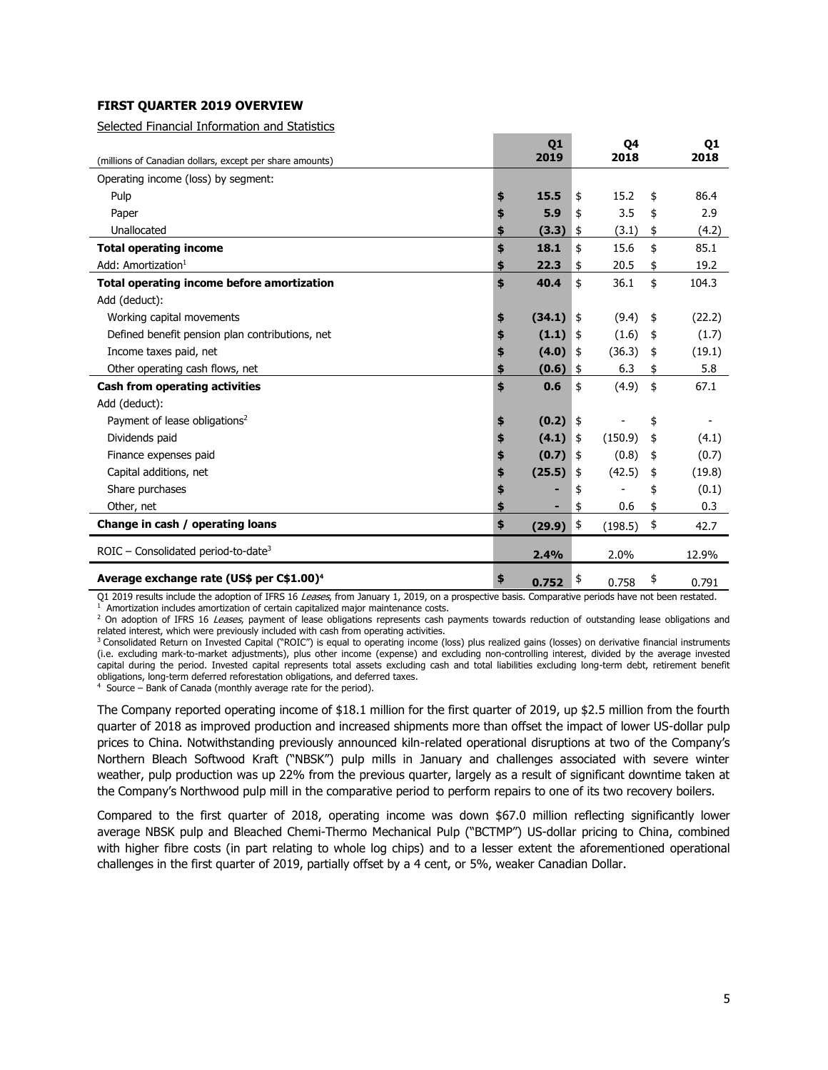# **FIRST QUARTER 2019 OVERVIEW**

Selected Financial Information and Statistics

|                                                          | Q <sub>1</sub><br>2019 | Q4<br>2018    | Q <sub>1</sub><br>2018 |
|----------------------------------------------------------|------------------------|---------------|------------------------|
| (millions of Canadian dollars, except per share amounts) |                        |               |                        |
| Operating income (loss) by segment:                      |                        |               |                        |
| Pulp                                                     | \$<br>15.5             | \$<br>15.2    | \$<br>86.4             |
| Paper                                                    | \$<br>5.9              | \$<br>3.5     | \$<br>2.9              |
| Unallocated                                              | (3.3)                  | \$<br>(3.1)   | \$<br>(4.2)            |
| <b>Total operating income</b>                            | \$<br>18.1             | \$<br>15.6    | \$<br>85.1             |
| Add: Amortization $1$                                    | 22.3                   | \$<br>20.5    | \$<br>19.2             |
| Total operating income before amortization               | \$<br>40.4             | \$<br>36.1    | \$<br>104.3            |
| Add (deduct):                                            |                        |               |                        |
| Working capital movements                                | \$<br>(34.1)           | \$<br>(9.4)   | \$<br>(22.2)           |
| Defined benefit pension plan contributions, net          | \$<br>(1.1)            | \$<br>(1.6)   | \$<br>(1.7)            |
| Income taxes paid, net                                   | (4.0)                  | \$<br>(36.3)  | \$<br>(19.1)           |
| Other operating cash flows, net                          | \$<br>(0.6)            | \$<br>6.3     | \$<br>5.8              |
| Cash from operating activities                           | \$<br>0.6              | \$<br>(4.9)   | \$<br>67.1             |
| Add (deduct):                                            |                        |               |                        |
| Payment of lease obligations <sup>2</sup>                | \$<br>(0.2)            | \$            | \$                     |
| Dividends paid                                           | \$<br>(4.1)            | \$<br>(150.9) | \$<br>(4.1)            |
| Finance expenses paid                                    | \$<br>(0.7)            | \$<br>(0.8)   | \$<br>(0.7)            |
| Capital additions, net                                   | \$<br>(25.5)           | \$<br>(42.5)  | \$<br>(19.8)           |
| Share purchases                                          |                        | \$            | \$<br>(0.1)            |
| Other, net                                               |                        | \$<br>0.6     | \$<br>0.3              |
| Change in cash / operating loans                         | \$<br>(29.9)           | \$<br>(198.5) | \$<br>42.7             |
| $ROIC$ – Consolidated period-to-date <sup>3</sup>        | 2.4%                   | 2.0%          | 12.9%                  |
| Average exchange rate (US\$ per C\$1.00) <sup>4</sup>    | \$<br>0.752            | \$<br>0.758   | \$<br>0.791            |

Q1 2019 results include the adoption of IFRS 16 Leases, from January 1, 2019, on a prospective basis. Comparative periods have not been restated.

Amortization includes amortization of certain capitalized major maintenance costs.

<sup>2</sup> On adoption of IFRS 16 Leases, payment of lease obligations represents cash payments towards reduction of outstanding lease obligations and related interest, which were previously included with cash from operating activities.

<sup>3</sup> Consolidated Return on Invested Capital ("ROIC") is equal to operating income (loss) plus realized gains (losses) on derivative financial instruments (i.e. excluding mark-to-market adjustments), plus other income (expense) and excluding non-controlling interest, divided by the average invested capital during the period. Invested capital represents total assets excluding cash and total liabilities excluding long-term debt, retirement benefit obligations, long-term deferred reforestation obligations, and deferred taxes.

<sup>4</sup> Source – Bank of Canada (monthly average rate for the period).

The Company reported operating income of \$18.1 million for the first quarter of 2019, up \$2.5 million from the fourth quarter of 2018 as improved production and increased shipments more than offset the impact of lower US-dollar pulp prices to China. Notwithstanding previously announced kiln-related operational disruptions at two of the Company's Northern Bleach Softwood Kraft ("NBSK") pulp mills in January and challenges associated with severe winter weather, pulp production was up 22% from the previous quarter, largely as a result of significant downtime taken at the Company's Northwood pulp mill in the comparative period to perform repairs to one of its two recovery boilers.

Compared to the first quarter of 2018, operating income was down \$67.0 million reflecting significantly lower average NBSK pulp and Bleached Chemi-Thermo Mechanical Pulp ("BCTMP") US-dollar pricing to China, combined with higher fibre costs (in part relating to whole log chips) and to a lesser extent the aforementioned operational challenges in the first quarter of 2019, partially offset by a 4 cent, or 5%, weaker Canadian Dollar.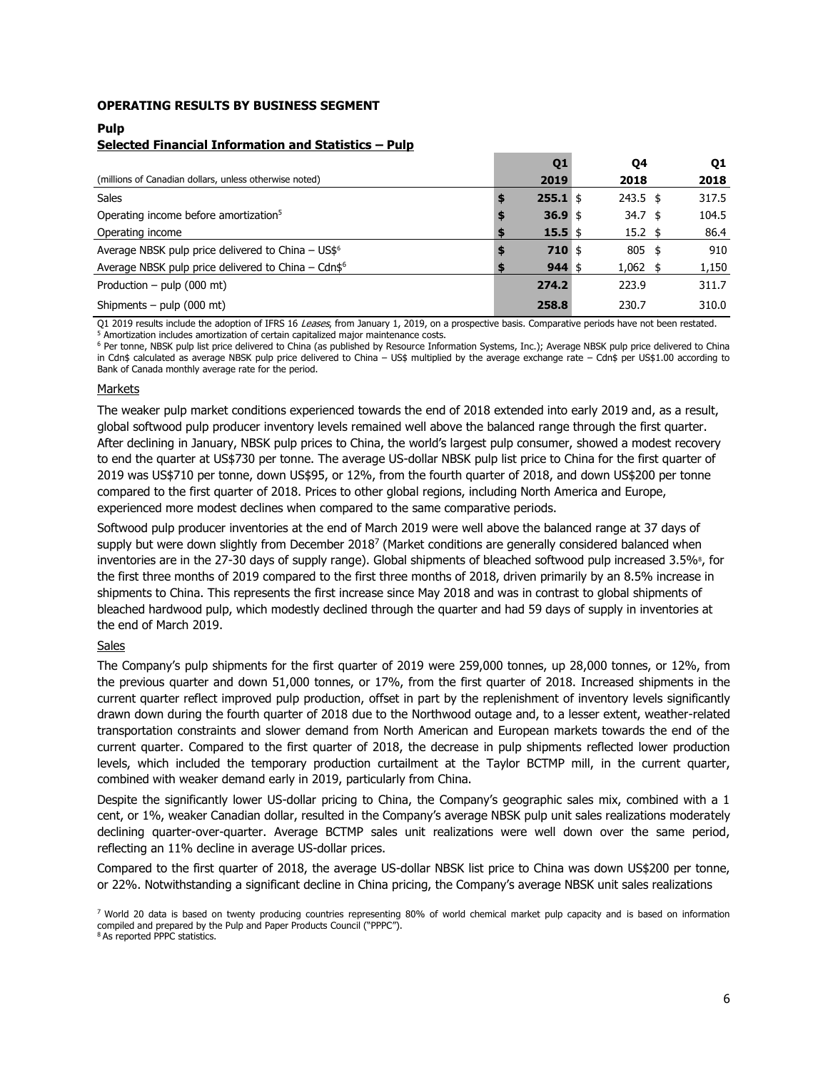# **OPERATING RESULTS BY BUSINESS SEGMENT**

# **Pulp**

# **Selected Financial Information and Statistics – Pulp**

|                                                                 | Q <sub>1</sub> | Q4              | Q1    |
|-----------------------------------------------------------------|----------------|-----------------|-------|
| (millions of Canadian dollars, unless otherwise noted)          | 2019           | 2018            | 2018  |
| <b>Sales</b>                                                    | $255.1$ \$     | $243.5$ \$      | 317.5 |
| Operating income before amortization <sup>5</sup>               | 36.9 \$        | $34.7 \;$ \$    | 104.5 |
| Operating income                                                | $15.5$ \$      | $15.2 \text{ }$ | 86.4  |
| Average NBSK pulp price delivered to China - US\$ <sup>6</sup>  | $710$ \$       | $805$ \$        | 910   |
| Average NBSK pulp price delivered to China - Cdn\$ <sup>6</sup> | $944$ \$       | $1,062$ \$      | 1,150 |
| Production – pulp $(000 \text{ mt})$                            | 274.2          | 223.9           | 311.7 |
| Shipments – pulp $(000 \text{ mt})$                             | 258.8          | 230.7           | 310.0 |

Q1 2019 results include the adoption of IFRS 16 Leases, from January 1, 2019, on a prospective basis. Comparative periods have not been restated. <sup>5</sup> Amortization includes amortization of certain capitalized major maintenance costs.

<sup>6</sup> Per tonne, NBSK pulp list price delivered to China (as published by Resource Information Systems, Inc.); Average NBSK pulp price delivered to China in Cdn\$ calculated as average NBSK pulp price delivered to China – US\$ multiplied by the average exchange rate – Cdn\$ per US\$1.00 according to Bank of Canada monthly average rate for the period.

#### Markets

The weaker pulp market conditions experienced towards the end of 2018 extended into early 2019 and, as a result, global softwood pulp producer inventory levels remained well above the balanced range through the first quarter. After declining in January, NBSK pulp prices to China, the world's largest pulp consumer, showed a modest recovery to end the quarter at US\$730 per tonne. The average US-dollar NBSK pulp list price to China for the first quarter of 2019 was US\$710 per tonne, down US\$95, or 12%, from the fourth quarter of 2018, and down US\$200 per tonne compared to the first quarter of 2018. Prices to other global regions, including North America and Europe, experienced more modest declines when compared to the same comparative periods.

Softwood pulp producer inventories at the end of March 2019 were well above the balanced range at 37 days of supply but were down slightly from December 2018<sup>7</sup> (Market conditions are generally considered balanced when inventories are in the 27-30 days of supply range). Global shipments of bleached softwood pulp increased 3.5%<sup>8</sup>, for the first three months of 2019 compared to the first three months of 2018, driven primarily by an 8.5% increase in shipments to China. This represents the first increase since May 2018 and was in contrast to global shipments of bleached hardwood pulp, which modestly declined through the quarter and had 59 days of supply in inventories at the end of March 2019.

# Sales

The Company's pulp shipments for the first quarter of 2019 were 259,000 tonnes, up 28,000 tonnes, or 12%, from the previous quarter and down 51,000 tonnes, or 17%, from the first quarter of 2018. Increased shipments in the current quarter reflect improved pulp production, offset in part by the replenishment of inventory levels significantly drawn down during the fourth quarter of 2018 due to the Northwood outage and, to a lesser extent, weather-related transportation constraints and slower demand from North American and European markets towards the end of the current quarter. Compared to the first quarter of 2018, the decrease in pulp shipments reflected lower production levels, which included the temporary production curtailment at the Taylor BCTMP mill, in the current quarter, combined with weaker demand early in 2019, particularly from China.

Despite the significantly lower US-dollar pricing to China, the Company's geographic sales mix, combined with a 1 cent, or 1%, weaker Canadian dollar, resulted in the Company's average NBSK pulp unit sales realizations moderately declining quarter-over-quarter. Average BCTMP sales unit realizations were well down over the same period, reflecting an 11% decline in average US-dollar prices.

Compared to the first quarter of 2018, the average US-dollar NBSK list price to China was down US\$200 per tonne, or 22%. Notwithstanding a significant decline in China pricing, the Company's average NBSK unit sales realizations

<sup>&</sup>lt;sup>7</sup> World 20 data is based on twenty producing countries representing 80% of world chemical market pulp capacity and is based on information compiled and prepared by the Pulp and Paper Products Council ("PPPC").<br><sup>8</sup> As reported PPPC statistics.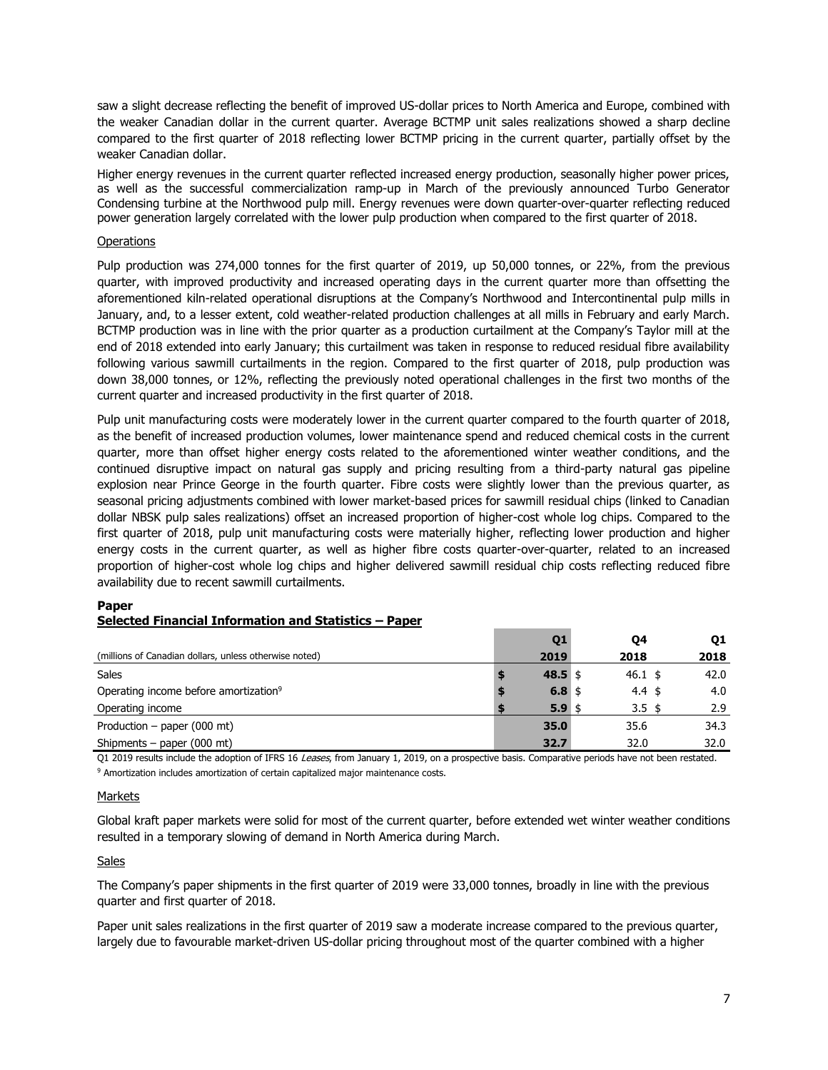saw a slight decrease reflecting the benefit of improved US-dollar prices to North America and Europe, combined with the weaker Canadian dollar in the current quarter. Average BCTMP unit sales realizations showed a sharp decline compared to the first quarter of 2018 reflecting lower BCTMP pricing in the current quarter, partially offset by the weaker Canadian dollar.

Higher energy revenues in the current quarter reflected increased energy production, seasonally higher power prices, as well as the successful commercialization ramp-up in March of the previously announced Turbo Generator Condensing turbine at the Northwood pulp mill. Energy revenues were down quarter-over-quarter reflecting reduced power generation largely correlated with the lower pulp production when compared to the first quarter of 2018.

# **Operations**

Pulp production was 274,000 tonnes for the first quarter of 2019, up 50,000 tonnes, or 22%, from the previous quarter, with improved productivity and increased operating days in the current quarter more than offsetting the aforementioned kiln-related operational disruptions at the Company's Northwood and Intercontinental pulp mills in January, and, to a lesser extent, cold weather-related production challenges at all mills in February and early March. BCTMP production was in line with the prior quarter as a production curtailment at the Company's Taylor mill at the end of 2018 extended into early January; this curtailment was taken in response to reduced residual fibre availability following various sawmill curtailments in the region. Compared to the first quarter of 2018, pulp production was down 38,000 tonnes, or 12%, reflecting the previously noted operational challenges in the first two months of the current quarter and increased productivity in the first quarter of 2018.

Pulp unit manufacturing costs were moderately lower in the current quarter compared to the fourth quarter of 2018, as the benefit of increased production volumes, lower maintenance spend and reduced chemical costs in the current quarter, more than offset higher energy costs related to the aforementioned winter weather conditions, and the continued disruptive impact on natural gas supply and pricing resulting from a third-party natural gas pipeline explosion near Prince George in the fourth quarter. Fibre costs were slightly lower than the previous quarter, as seasonal pricing adjustments combined with lower market-based prices for sawmill residual chips (linked to Canadian dollar NBSK pulp sales realizations) offset an increased proportion of higher-cost whole log chips. Compared to the first quarter of 2018, pulp unit manufacturing costs were materially higher, reflecting lower production and higher energy costs in the current quarter, as well as higher fibre costs quarter-over-quarter, related to an increased proportion of higher-cost whole log chips and higher delivered sawmill residual chip costs reflecting reduced fibre availability due to recent sawmill curtailments.

# **Paper Selected Financial Information and Statistics – Paper**

|                                                        | Q1       | Q4                | Q1   |
|--------------------------------------------------------|----------|-------------------|------|
| (millions of Canadian dollars, unless otherwise noted) | 2019     | 2018              | 2018 |
| <b>Sales</b>                                           | 48.5 \$  | $46.1 \;$ \$      | 42.0 |
| Operating income before amortization <sup>9</sup>      | 6.8 \$   | 4.4 $\frac{1}{2}$ | 4.0  |
| Operating income                                       | $5.9$ \$ | $3.5 \;$ \$       | 2.9  |
| Production – paper $(000 \text{ mt})$                  | 35.0     | 35.6              | 34.3 |
| Shipments – paper $(000 \text{ mt})$                   | 32.7     | 32.0              | 32.0 |

Q1 2019 results include the adoption of IFRS 16 Leases, from January 1, 2019, on a prospective basis. Comparative periods have not been restated. <sup>9</sup> Amortization includes amortization of certain capitalized major maintenance costs.

#### **Markets**

Global kraft paper markets were solid for most of the current quarter, before extended wet winter weather conditions resulted in a temporary slowing of demand in North America during March.

#### Sales

The Company's paper shipments in the first quarter of 2019 were 33,000 tonnes, broadly in line with the previous quarter and first quarter of 2018.

Paper unit sales realizations in the first quarter of 2019 saw a moderate increase compared to the previous quarter, largely due to favourable market-driven US-dollar pricing throughout most of the quarter combined with a higher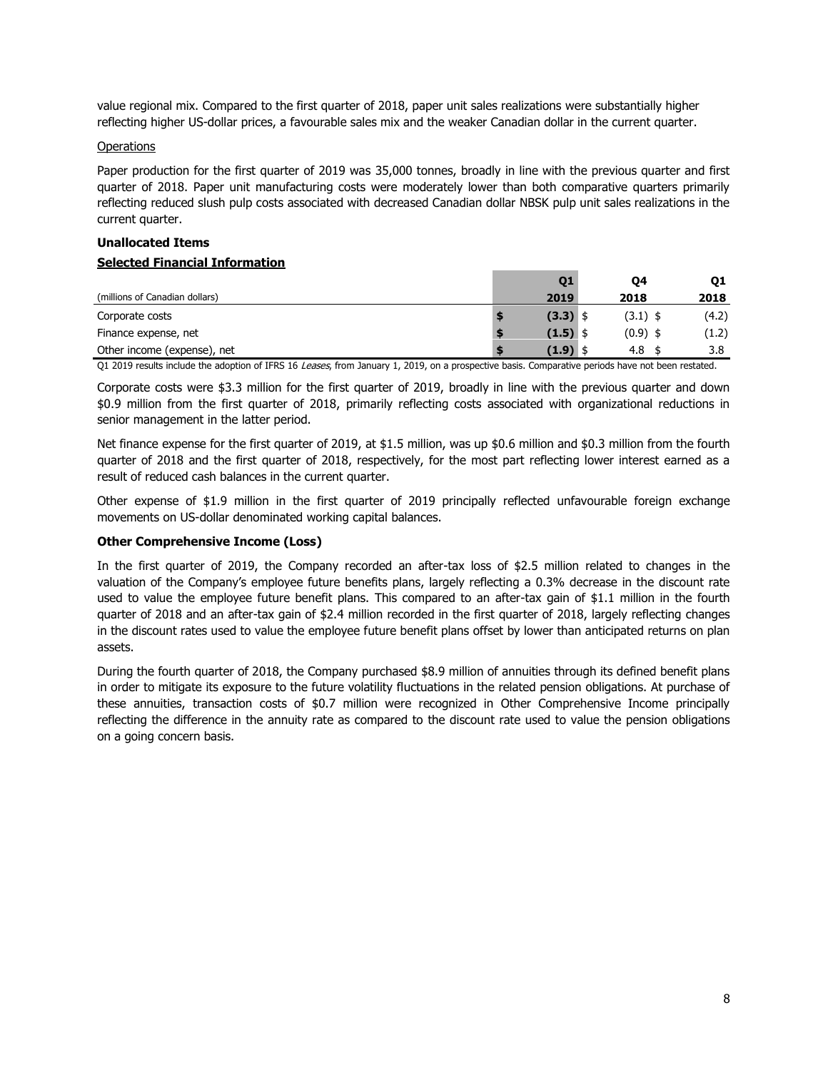value regional mix. Compared to the first quarter of 2018, paper unit sales realizations were substantially higher reflecting higher US-dollar prices, a favourable sales mix and the weaker Canadian dollar in the current quarter.

#### **Operations**

Paper production for the first quarter of 2019 was 35,000 tonnes, broadly in line with the previous quarter and first quarter of 2018. Paper unit manufacturing costs were moderately lower than both comparative quarters primarily reflecting reduced slush pulp costs associated with decreased Canadian dollar NBSK pulp unit sales realizations in the current quarter.

# **Unallocated Items Selected Financial Information**

|                                | 01         | Q4         | 01    |
|--------------------------------|------------|------------|-------|
| (millions of Canadian dollars) | 2019       | 2018       | 2018  |
| Corporate costs                | $(3.3)$ \$ | $(3.1)$ \$ | (4.2) |
| Finance expense, net           | $(1.5)$ \$ | $(0.9)$ \$ | (1.2) |
| Other income (expense), net    | (1.9)      | 4.8        | 3.8   |
|                                |            |            |       |

Q1 2019 results include the adoption of IFRS 16 Leases, from January 1, 2019, on a prospective basis. Comparative periods have not been restated.

Corporate costs were \$3.3 million for the first quarter of 2019, broadly in line with the previous quarter and down \$0.9 million from the first quarter of 2018, primarily reflecting costs associated with organizational reductions in senior management in the latter period.

Net finance expense for the first quarter of 2019, at \$1.5 million, was up \$0.6 million and \$0.3 million from the fourth quarter of 2018 and the first quarter of 2018, respectively, for the most part reflecting lower interest earned as a result of reduced cash balances in the current quarter.

Other expense of \$1.9 million in the first quarter of 2019 principally reflected unfavourable foreign exchange movements on US-dollar denominated working capital balances.

# **Other Comprehensive Income (Loss)**

In the first quarter of 2019, the Company recorded an after-tax loss of \$2.5 million related to changes in the valuation of the Company's employee future benefits plans, largely reflecting a 0.3% decrease in the discount rate used to value the employee future benefit plans. This compared to an after-tax gain of \$1.1 million in the fourth quarter of 2018 and an after-tax gain of \$2.4 million recorded in the first quarter of 2018, largely reflecting changes in the discount rates used to value the employee future benefit plans offset by lower than anticipated returns on plan assets.

During the fourth quarter of 2018, the Company purchased \$8.9 million of annuities through its defined benefit plans in order to mitigate its exposure to the future volatility fluctuations in the related pension obligations. At purchase of these annuities, transaction costs of \$0.7 million were recognized in Other Comprehensive Income principally reflecting the difference in the annuity rate as compared to the discount rate used to value the pension obligations on a going concern basis.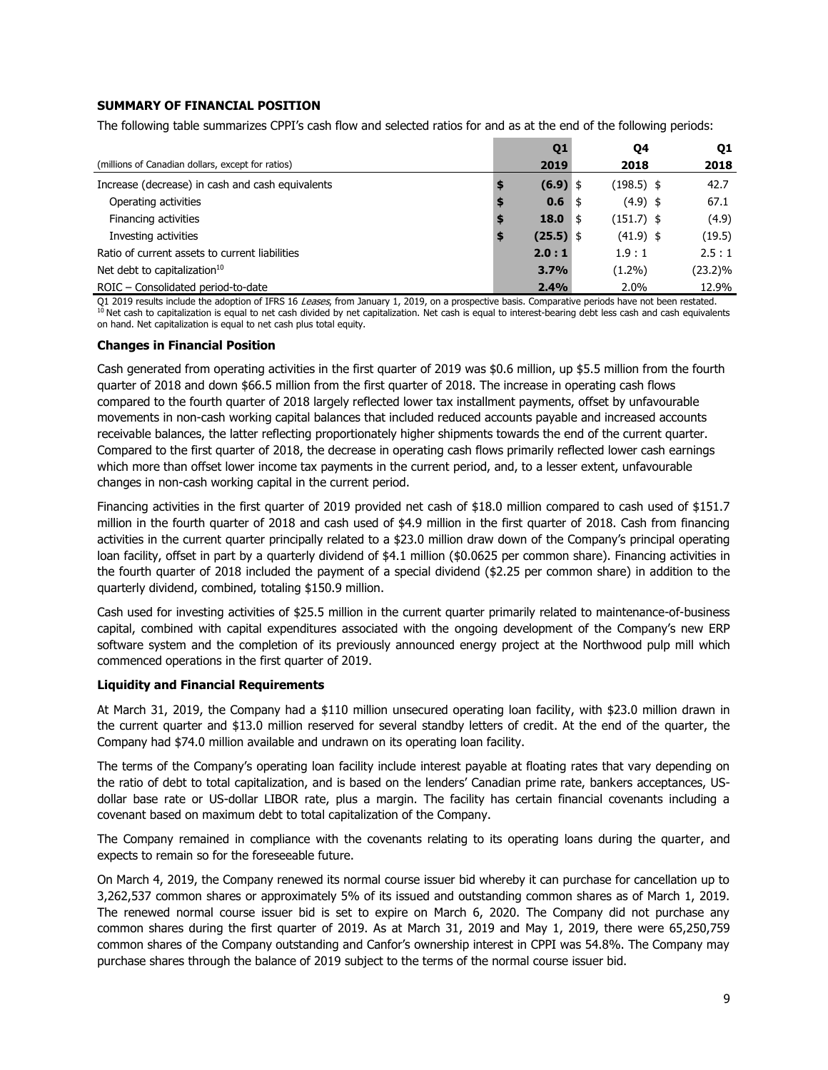# **SUMMARY OF FINANCIAL POSITION**

The following table summarizes CPPI's cash flow and selected ratios for and as at the end of the following periods:

|                                                   | Q <sub>1</sub> |      | Q4           | Q1         |
|---------------------------------------------------|----------------|------|--------------|------------|
| (millions of Canadian dollars, except for ratios) | 2019           |      | 2018         | 2018       |
| Increase (decrease) in cash and cash equivalents  | $(6.9)$ \$     |      | $(198.5)$ \$ | 42.7       |
| Operating activities                              | 0.6            | ∣\$  | $(4.9)$ \$   | 67.1       |
| Financing activities                              | 18.0           | ا \$ | $(151.7)$ \$ | (4.9)      |
| Investing activities                              | $(25.5)$ \$    |      | $(41.9)$ \$  | (19.5)     |
| Ratio of current assets to current liabilities    | 2.0:1          |      | 1.9:1        | 2.5:1      |
| Net debt to capitalization <sup>10</sup>          | 3.7%           |      | $(1.2\%)$    | $(23.2)\%$ |
| ROIC - Consolidated period-to-date                | 2.4%           |      | 2.0%         | 12.9%      |

Q1 2019 results include the adoption of IFRS 16 *Leases,* from January 1, 2019, on a prospective basis. Comparative periods have not been restated.<br><sup>10</sup> Net cash to capitalization is equal to net cash divided by net capita on hand. Net capitalization is equal to net cash plus total equity.

# **Changes in Financial Position**

Cash generated from operating activities in the first quarter of 2019 was \$0.6 million, up \$5.5 million from the fourth quarter of 2018 and down \$66.5 million from the first quarter of 2018. The increase in operating cash flows compared to the fourth quarter of 2018 largely reflected lower tax installment payments, offset by unfavourable movements in non-cash working capital balances that included reduced accounts payable and increased accounts receivable balances, the latter reflecting proportionately higher shipments towards the end of the current quarter. Compared to the first quarter of 2018, the decrease in operating cash flows primarily reflected lower cash earnings which more than offset lower income tax payments in the current period, and, to a lesser extent, unfavourable changes in non-cash working capital in the current period.

Financing activities in the first quarter of 2019 provided net cash of \$18.0 million compared to cash used of \$151.7 million in the fourth quarter of 2018 and cash used of \$4.9 million in the first quarter of 2018. Cash from financing activities in the current quarter principally related to a \$23.0 million draw down of the Company's principal operating loan facility, offset in part by a quarterly dividend of \$4.1 million (\$0.0625 per common share). Financing activities in the fourth quarter of 2018 included the payment of a special dividend (\$2.25 per common share) in addition to the quarterly dividend, combined, totaling \$150.9 million.

Cash used for investing activities of \$25.5 million in the current quarter primarily related to maintenance-of-business capital, combined with capital expenditures associated with the ongoing development of the Company's new ERP software system and the completion of its previously announced energy project at the Northwood pulp mill which commenced operations in the first quarter of 2019.

#### **Liquidity and Financial Requirements**

At March 31, 2019, the Company had a \$110 million unsecured operating loan facility, with \$23.0 million drawn in the current quarter and \$13.0 million reserved for several standby letters of credit. At the end of the quarter, the Company had \$74.0 million available and undrawn on its operating loan facility.

The terms of the Company's operating loan facility include interest payable at floating rates that vary depending on the ratio of debt to total capitalization, and is based on the lenders' Canadian prime rate, bankers acceptances, USdollar base rate or US-dollar LIBOR rate, plus a margin. The facility has certain financial covenants including a covenant based on maximum debt to total capitalization of the Company.

The Company remained in compliance with the covenants relating to its operating loans during the quarter, and expects to remain so for the foreseeable future.

On March 4, 2019, the Company renewed its normal course issuer bid whereby it can purchase for cancellation up to 3,262,537 common shares or approximately 5% of its issued and outstanding common shares as of March 1, 2019. The renewed normal course issuer bid is set to expire on March 6, 2020. The Company did not purchase any common shares during the first quarter of 2019. As at March 31, 2019 and May 1, 2019, there were 65,250,759 common shares of the Company outstanding and Canfor's ownership interest in CPPI was 54.8%. The Company may purchase shares through the balance of 2019 subject to the terms of the normal course issuer bid.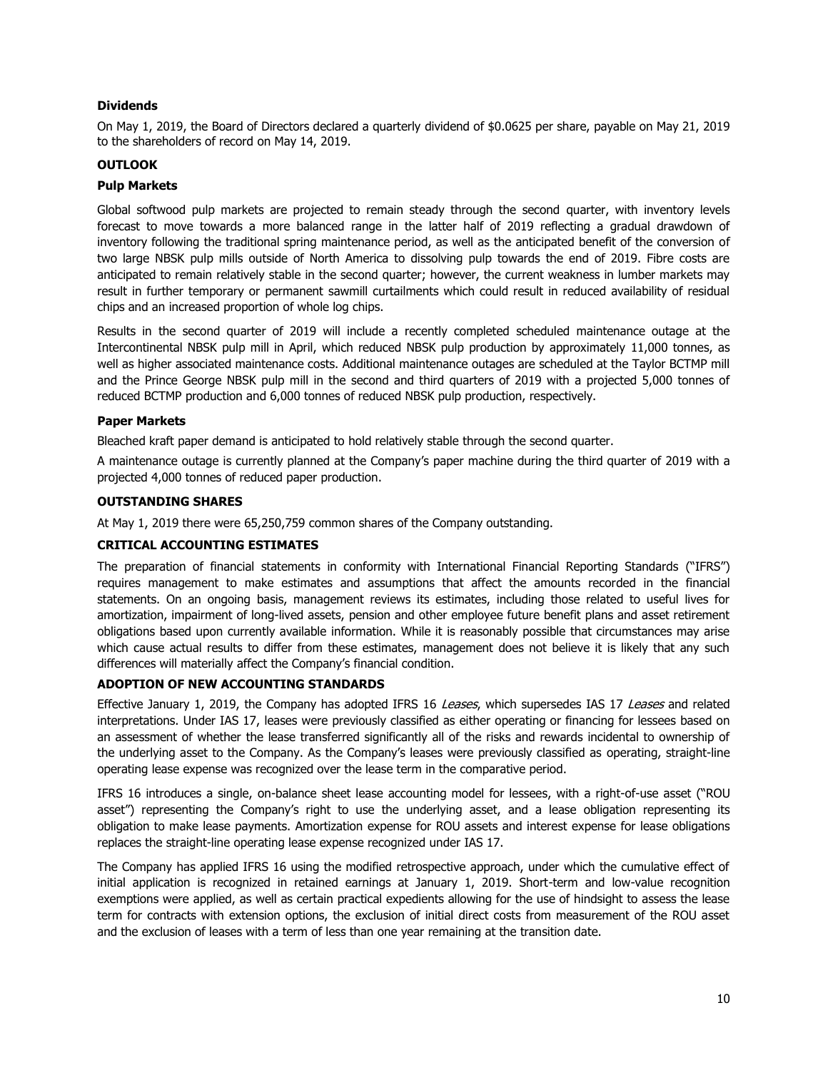# **Dividends**

On May 1, 2019, the Board of Directors declared a quarterly dividend of \$0.0625 per share, payable on May 21, 2019 to the shareholders of record on May 14, 2019.

# **OUTLOOK**

# **Pulp Markets**

Global softwood pulp markets are projected to remain steady through the second quarter, with inventory levels forecast to move towards a more balanced range in the latter half of 2019 reflecting a gradual drawdown of inventory following the traditional spring maintenance period, as well as the anticipated benefit of the conversion of two large NBSK pulp mills outside of North America to dissolving pulp towards the end of 2019. Fibre costs are anticipated to remain relatively stable in the second quarter; however, the current weakness in lumber markets may result in further temporary or permanent sawmill curtailments which could result in reduced availability of residual chips and an increased proportion of whole log chips.

Results in the second quarter of 2019 will include a recently completed scheduled maintenance outage at the Intercontinental NBSK pulp mill in April, which reduced NBSK pulp production by approximately 11,000 tonnes, as well as higher associated maintenance costs. Additional maintenance outages are scheduled at the Taylor BCTMP mill and the Prince George NBSK pulp mill in the second and third quarters of 2019 with a projected 5,000 tonnes of reduced BCTMP production and 6,000 tonnes of reduced NBSK pulp production, respectively.

# **Paper Markets**

Bleached kraft paper demand is anticipated to hold relatively stable through the second quarter.

A maintenance outage is currently planned at the Company's paper machine during the third quarter of 2019 with a projected 4,000 tonnes of reduced paper production.

### **OUTSTANDING SHARES**

At May 1, 2019 there were 65,250,759 common shares of the Company outstanding.

#### **CRITICAL ACCOUNTING ESTIMATES**

The preparation of financial statements in conformity with International Financial Reporting Standards ("IFRS") requires management to make estimates and assumptions that affect the amounts recorded in the financial statements. On an ongoing basis, management reviews its estimates, including those related to useful lives for amortization, impairment of long-lived assets, pension and other employee future benefit plans and asset retirement obligations based upon currently available information. While it is reasonably possible that circumstances may arise which cause actual results to differ from these estimates, management does not believe it is likely that any such differences will materially affect the Company's financial condition.

# **ADOPTION OF NEW ACCOUNTING STANDARDS**

Effective January 1, 2019, the Company has adopted IFRS 16 Leases, which supersedes IAS 17 Leases and related interpretations. Under IAS 17, leases were previously classified as either operating or financing for lessees based on an assessment of whether the lease transferred significantly all of the risks and rewards incidental to ownership of the underlying asset to the Company. As the Company's leases were previously classified as operating, straight-line operating lease expense was recognized over the lease term in the comparative period.

IFRS 16 introduces a single, on-balance sheet lease accounting model for lessees, with a right-of-use asset ("ROU asset") representing the Company's right to use the underlying asset, and a lease obligation representing its obligation to make lease payments. Amortization expense for ROU assets and interest expense for lease obligations replaces the straight-line operating lease expense recognized under IAS 17.

The Company has applied IFRS 16 using the modified retrospective approach, under which the cumulative effect of initial application is recognized in retained earnings at January 1, 2019. Short-term and low-value recognition exemptions were applied, as well as certain practical expedients allowing for the use of hindsight to assess the lease term for contracts with extension options, the exclusion of initial direct costs from measurement of the ROU asset and the exclusion of leases with a term of less than one year remaining at the transition date.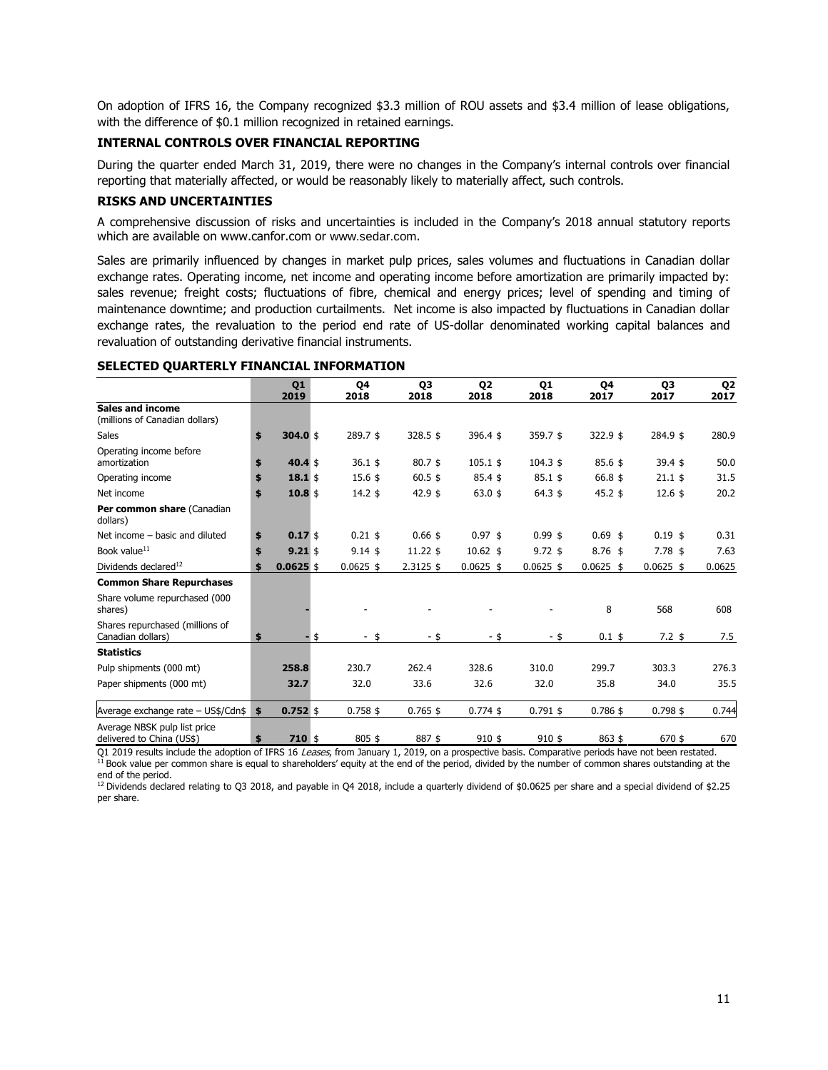On adoption of IFRS 16, the Company recognized \$3.3 million of ROU assets and \$3.4 million of lease obligations, with the difference of \$0.1 million recognized in retained earnings.

# **INTERNAL CONTROLS OVER FINANCIAL REPORTING**

During the quarter ended March 31, 2019, there were no changes in the Company's internal controls over financial reporting that materially affected, or would be reasonably likely to materially affect, such controls.

# **RISKS AND UNCERTAINTIES**

A comprehensive discussion of risks and uncertainties is included in the Company's 2018 annual statutory reports which are available on www.canfor.com or [www.sedar.com](http://www.sedar.com/).

Sales are primarily influenced by changes in market pulp prices, sales volumes and fluctuations in Canadian dollar exchange rates. Operating income, net income and operating income before amortization are primarily impacted by: sales revenue; freight costs; fluctuations of fibre, chemical and energy prices; level of spending and timing of maintenance downtime; and production curtailments. Net income is also impacted by fluctuations in Canadian dollar exchange rates, the revaluation to the period end rate of US-dollar denominated working capital balances and revaluation of outstanding derivative financial instruments.

#### **SELECTED QUARTERLY FINANCIAL INFORMATION**

|                                                           | Q <sub>1</sub><br>2019 | <b>Q4</b><br>2018 | Q3<br>2018  | Q <sub>2</sub><br>2018 | Q <sub>1</sub><br>2018 | Q4<br>2017      | Q3<br>2017       | Q <sub>2</sub><br>2017 |
|-----------------------------------------------------------|------------------------|-------------------|-------------|------------------------|------------------------|-----------------|------------------|------------------------|
| <b>Sales and income</b><br>(millions of Canadian dollars) |                        |                   |             |                        |                        |                 |                  |                        |
| <b>Sales</b>                                              | \$<br>$304.0$ \$       | 289.7\$           | 328.5 \$    | 396.4 \$               | 359.7\$                | 322.9 \$        | 284.9 \$         | 280.9                  |
| Operating income before<br>amortization                   | \$<br>$40.4 \text{ s}$ | $36.1 \text{ }$   | $80.7$ \$   | $105.1$ \$             | $104.3 \text{ }$       | $85.6 \text{ }$ | $39.4 \text{ s}$ | 50.0                   |
| Operating income                                          | \$<br>$18.1 \text{ s}$ | 15.6~\$           | $60.5$ \$   | $85.4 \text{ }$ \$     | $85.1$ \$              | 66.8 \$         | $21.1$ \$        | 31.5                   |
| Net income                                                | \$<br>$10.8$ \$        | $14.2 \text{ }$   | $42.9$ \$   | $63.0$ \$              | $64.3 \text{ }$        | $45.2$ \$       | 12.6~\$          | 20.2                   |
| Per common share (Canadian<br>dollars)                    |                        |                   |             |                        |                        |                 |                  |                        |
| Net income - basic and diluted                            | \$<br>$0.17$ \$        | $0.21$ \$         | $0.66$ \$   | $0.97$ \$              | $0.99$ \$              | $0.69$ \$       | $0.19$ \$        | 0.31                   |
| Book value <sup>11</sup>                                  | \$<br>$9.21 \text{ s}$ | $9.14$ \$         | $11.22$ \$  | $10.62$ \$             | $9.72$ \$              | $8.76$ \$       | $7.78$ \$        | 7.63                   |
| Dividends declared <sup>12</sup>                          | \$<br>$0.0625$ \$      | $0.0625$ \$       | $2.3125$ \$ | $0.0625$ \$            | $0.0625$ \$            | $0.0625$ \$     | $0.0625$ \$      | 0.0625                 |
| <b>Common Share Repurchases</b>                           |                        |                   |             |                        |                        |                 |                  |                        |
| Share volume repurchased (000<br>shares)                  |                        |                   |             |                        |                        | 8               | 568              | 608                    |
| Shares repurchased (millions of<br>Canadian dollars)      | \$                     | \$<br>- \$        | - \$        | - \$                   | - \$                   | $0.1$ \$        | 7.2~\$           | 7.5                    |
| <b>Statistics</b>                                         |                        |                   |             |                        |                        |                 |                  |                        |
| Pulp shipments (000 mt)                                   | 258.8                  | 230.7             | 262.4       | 328.6                  | 310.0                  | 299.7           | 303.3            | 276.3                  |
| Paper shipments (000 mt)                                  | 32.7                   | 32.0              | 33.6        | 32.6                   | 32.0                   | 35.8            | 34.0             | 35.5                   |
| Average exchange rate - US\$/Cdn\$                        | \$<br>$0.752$ \$       | $0.758$ \$        | $0.765$ \$  | $0.774$ \$             | $0.791$ \$             | $0.786$ \$      | $0.798$ \$       | 0.744                  |
| Average NBSK pulp list price<br>delivered to China (US\$) | \$<br>$710 \pm$        | 805 \$            | 887\$       | $910$ \$               | $910$ \$               | 863 \$          | 670\$            | 670                    |

Q1 2019 results include the adoption of IFRS 16 *Leases,* from January 1, 2019, on a prospective basis. Comparative periods have not been restated.<br><sup>11</sup> Book value per common share is equal to shareholders' equity at the e end of the period.

<sup>12</sup> Dividends declared relating to Q3 2018, and payable in Q4 2018, include a quarterly dividend of \$0.0625 per share and a special dividend of \$2.25 per share.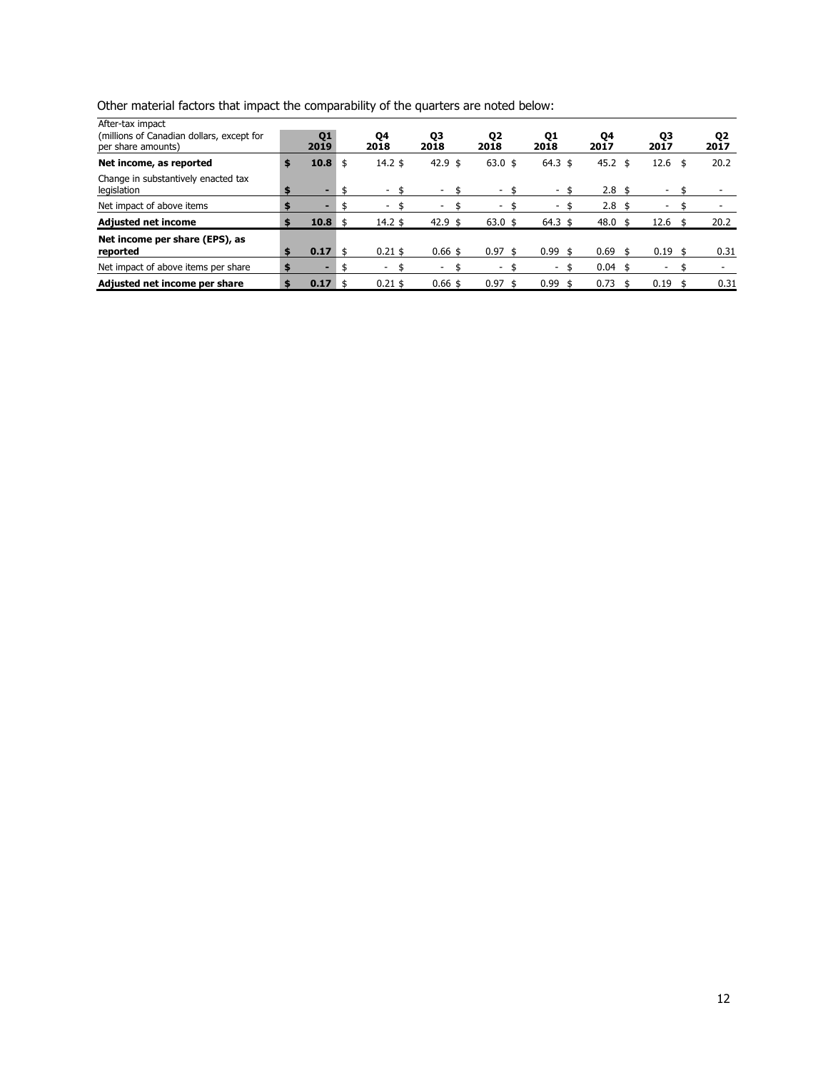| Other material factors that impact the comparability of the quarters are noted below: |  |  |  |  |
|---------------------------------------------------------------------------------------|--|--|--|--|
|                                                                                       |  |  |  |  |

| After-tax impact<br>(millions of Canadian dollars, except for<br>per share amounts) | Q1<br>2019 |     | Q4<br>2018      | Q3<br>2018 | Q <sub>2</sub><br>2018 | Q1<br>2018   |      | Q4<br>2017       | Q3<br>2017 |      | Q2<br>2017 |
|-------------------------------------------------------------------------------------|------------|-----|-----------------|------------|------------------------|--------------|------|------------------|------------|------|------------|
| Net income, as reported                                                             | \$<br>10.8 | \$  | $14.2 \text{ }$ | 42.9 \$    | $63.0 \text{ }$        | $64.3 \;$ \$ |      | 45.2 \$          | 12.6       | - \$ | 20.2       |
| Change in substantively enacted tax<br>legislation                                  | \$<br>-    |     |                 | ۰          |                        |              |      | $2.8 \;$ \$      |            |      |            |
| Net impact of above items                                                           |            |     |                 |            |                        |              |      | 2.8 <sub>5</sub> |            |      |            |
| <b>Adjusted net income</b>                                                          | \$<br>10.8 | -\$ | $14.2 \text{ }$ | 42.9 \$    | $63.0 \text{ }$        | $64.3 \;$ \$ |      | 48.0             | 12.6       | - \$ | 20.2       |
| Net income per share (EPS), as<br>reported                                          | \$<br>0.17 |     | $0.21$ \$       | $0.66$ \$  | $0.97$ \$              | 0.99         | -\$  | 0.69             | $0.19$ \$  |      | 0.31       |
| Net impact of above items per share                                                 | \$         |     |                 |            |                        |              |      | 0.04             |            |      |            |
| Adjusted net income per share                                                       | \$<br>0.17 |     | $0.21$ \$       | $0.66$ \$  | $0.97$ \$              | 0.99         | - \$ | 0.73             | \$<br>0.19 |      | 0.31       |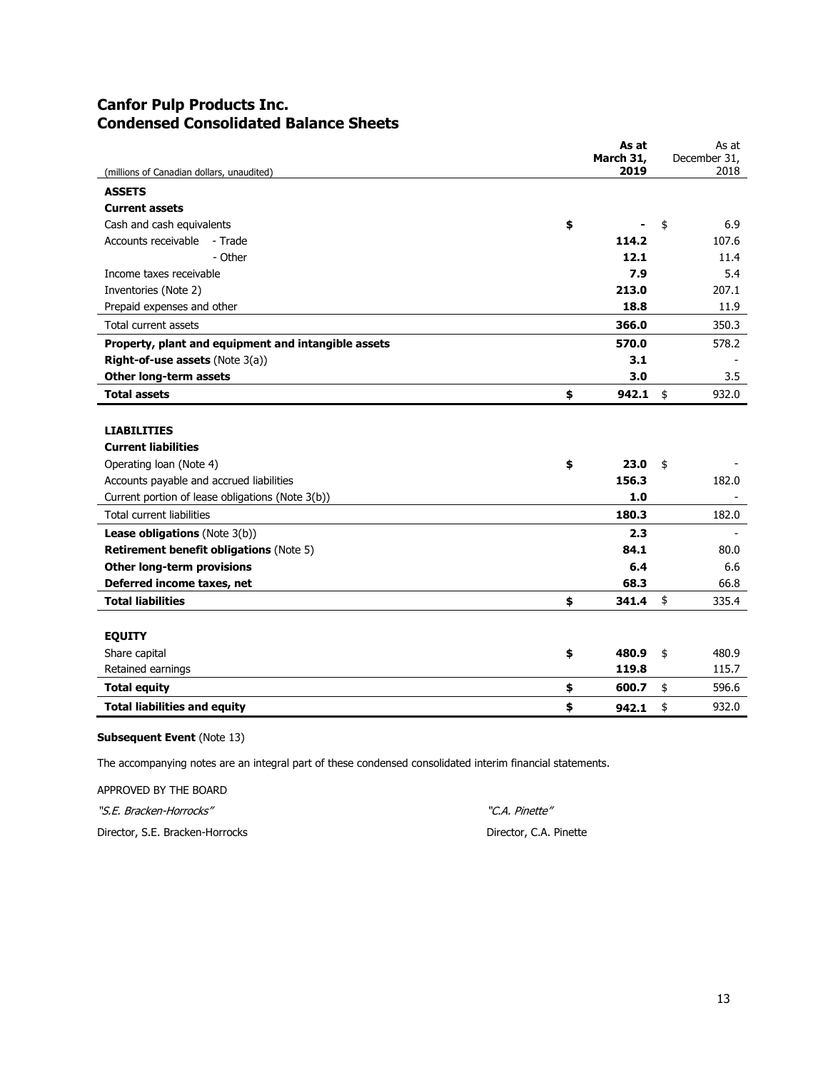# **Canfor Pulp Products Inc. Condensed Consolidated Balance Sheets**

| (millions of Canadian dollars, unaudited)                                                                                                                                         | As at<br>March 31,<br>2019 | As at<br>December 31,<br>2018 |
|-----------------------------------------------------------------------------------------------------------------------------------------------------------------------------------|----------------------------|-------------------------------|
| <b>ASSETS</b>                                                                                                                                                                     |                            |                               |
| <b>Current assets</b>                                                                                                                                                             |                            |                               |
| Cash and cash equivalents<br>\$                                                                                                                                                   |                            | 6.9<br>\$                     |
| Accounts receivable<br>- Trade                                                                                                                                                    | 114.2                      | 107.6                         |
| - Other                                                                                                                                                                           | 12.1                       | 11.4                          |
| Income taxes receivable                                                                                                                                                           | 7.9                        | 5.4                           |
| Inventories (Note 2)                                                                                                                                                              | 213.0                      | 207.1                         |
| Prepaid expenses and other                                                                                                                                                        | 18.8                       | 11.9                          |
| Total current assets                                                                                                                                                              | 366.0                      | 350.3                         |
| Property, plant and equipment and intangible assets                                                                                                                               | 570.0                      | 578.2                         |
| Right-of-use assets (Note 3(a))                                                                                                                                                   | 3.1                        |                               |
| Other long-term assets                                                                                                                                                            | 3.0                        | 3.5                           |
| <b>Total assets</b><br>\$                                                                                                                                                         | 942.1                      | \$<br>932.0                   |
| <b>LIABILITIES</b><br><b>Current liabilities</b><br>Operating loan (Note 4)<br>\$<br>Accounts payable and accrued liabilities<br>Current portion of lease obligations (Note 3(b)) | 23.0<br>156.3<br>1.0       | \$<br>182.0                   |
| Total current liabilities                                                                                                                                                         | 180.3                      | 182.0                         |
| <b>Lease obligations</b> (Note 3(b))                                                                                                                                              | 2.3                        |                               |
| <b>Retirement benefit obligations (Note 5)</b>                                                                                                                                    | 84.1                       | 80.0                          |
| Other long-term provisions                                                                                                                                                        | 6.4                        | 6.6                           |
| Deferred income taxes, net                                                                                                                                                        | 68.3                       | 66.8                          |
| <b>Total liabilities</b><br>\$                                                                                                                                                    | 341.4                      | \$<br>335.4                   |
| <b>EQUITY</b>                                                                                                                                                                     |                            |                               |
| Share capital<br>\$                                                                                                                                                               | 480.9                      | 480.9<br>\$                   |
| Retained earnings                                                                                                                                                                 | 119.8                      | 115.7                         |
| <b>Total equity</b><br>\$                                                                                                                                                         | 600.7                      | 596.6<br>\$                   |
| <b>Total liabilities and equity</b><br>\$                                                                                                                                         | 942.1                      | \$<br>932.0                   |

# **Subsequent Event** (Note 13)

The accompanying notes are an integral part of these condensed consolidated interim financial statements.

APPROVED BY THE BOARD "S.E. Bracken-Horrocks" "C.A. Pinette"

Director, S.E. Bracken-Horrocks Director, C.A. Pinette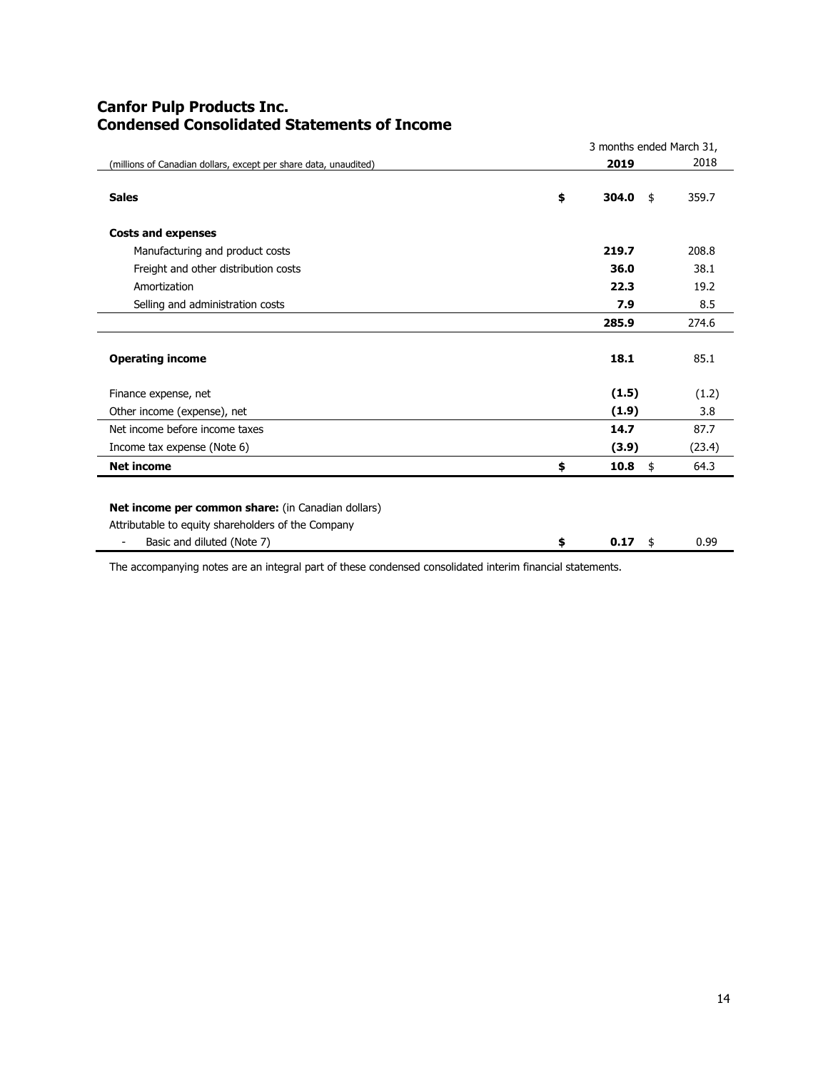# **Canfor Pulp Products Inc. Condensed Consolidated Statements of Income**

|                                                                  | 3 months ended March 31, |             |        |  |  |  |  |  |  |
|------------------------------------------------------------------|--------------------------|-------------|--------|--|--|--|--|--|--|
| (millions of Canadian dollars, except per share data, unaudited) |                          | 2019        | 2018   |  |  |  |  |  |  |
| <b>Sales</b>                                                     | \$                       | 304.0<br>\$ | 359.7  |  |  |  |  |  |  |
| <b>Costs and expenses</b>                                        |                          |             |        |  |  |  |  |  |  |
| Manufacturing and product costs                                  |                          | 219.7       | 208.8  |  |  |  |  |  |  |
| Freight and other distribution costs                             |                          | 36.0        | 38.1   |  |  |  |  |  |  |
| Amortization                                                     |                          | 22.3        | 19.2   |  |  |  |  |  |  |
| Selling and administration costs                                 |                          | 7.9         | 8.5    |  |  |  |  |  |  |
|                                                                  |                          | 285.9       | 274.6  |  |  |  |  |  |  |
| <b>Operating income</b>                                          |                          | 18.1        | 85.1   |  |  |  |  |  |  |
| Finance expense, net                                             |                          | (1.5)       | (1.2)  |  |  |  |  |  |  |
| Other income (expense), net                                      |                          | (1.9)       | 3.8    |  |  |  |  |  |  |
| Net income before income taxes                                   |                          | 14.7        | 87.7   |  |  |  |  |  |  |
| Income tax expense (Note 6)                                      |                          | (3.9)       | (23.4) |  |  |  |  |  |  |
| <b>Net income</b>                                                | \$                       | 10.8<br>\$  | 64.3   |  |  |  |  |  |  |
|                                                                  |                          |             |        |  |  |  |  |  |  |
| Net income per common share: (in Canadian dollars)               |                          |             |        |  |  |  |  |  |  |
| Attributable to equity shareholders of the Company               |                          |             |        |  |  |  |  |  |  |
| Basic and diluted (Note 7)<br>$\overline{\phantom{a}}$           | \$                       | 0.17<br>\$  | 0.99   |  |  |  |  |  |  |

The accompanying notes are an integral part of these condensed consolidated interim financial statements.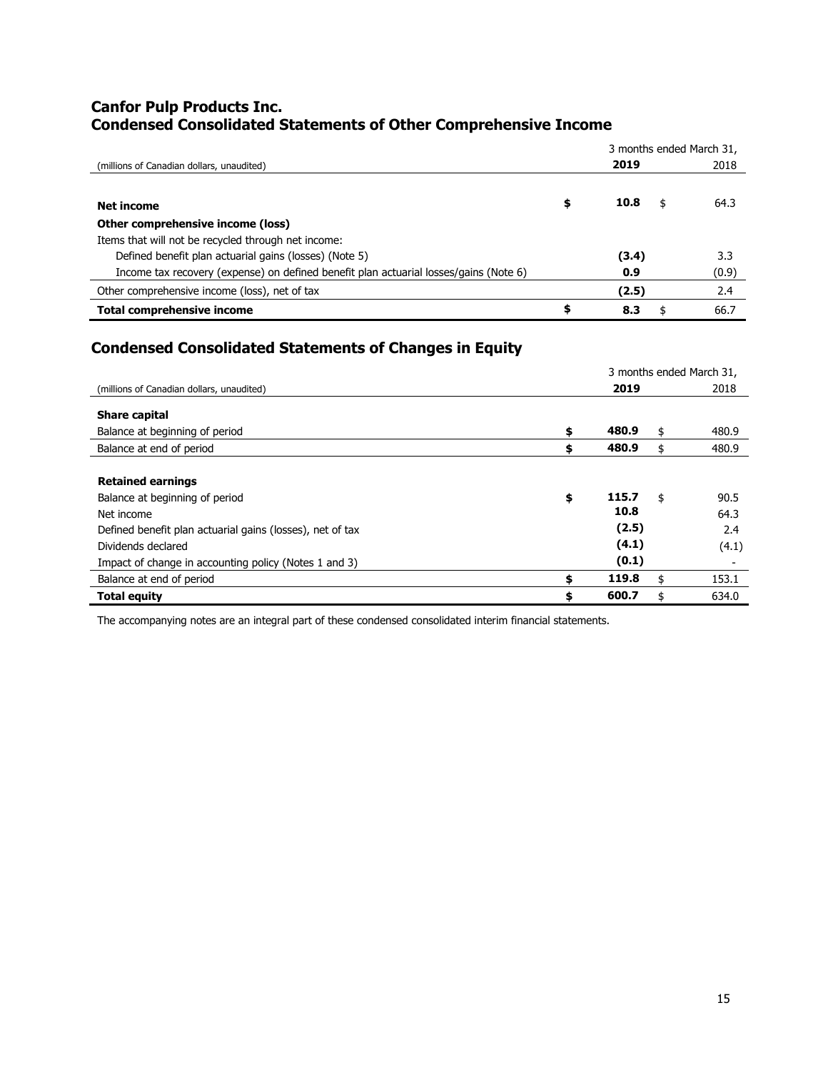# **Canfor Pulp Products Inc. Condensed Consolidated Statements of Other Comprehensive Income**

|                                                                                       |            | 3 months ended March 31, |
|---------------------------------------------------------------------------------------|------------|--------------------------|
| (millions of Canadian dollars, unaudited)                                             | 2019       | 2018                     |
|                                                                                       |            |                          |
| <b>Net income</b>                                                                     | \$<br>10.8 | 64.3                     |
| Other comprehensive income (loss)                                                     |            |                          |
| Items that will not be recycled through net income:                                   |            |                          |
| Defined benefit plan actuarial gains (losses) (Note 5)                                | (3.4)      | 3.3                      |
| Income tax recovery (expense) on defined benefit plan actuarial losses/gains (Note 6) | 0.9        | (0.9)                    |
| Other comprehensive income (loss), net of tax                                         | (2.5)      | 2.4                      |
| <b>Total comprehensive income</b>                                                     | \$<br>8.3  | 66.7                     |

# **Condensed Consolidated Statements of Changes in Equity**

|                                                           |             | 3 months ended March 31. |
|-----------------------------------------------------------|-------------|--------------------------|
| (millions of Canadian dollars, unaudited)                 | 2019        | 2018                     |
| <b>Share capital</b>                                      |             |                          |
| Balance at beginning of period                            | \$<br>480.9 | \$<br>480.9              |
| Balance at end of period                                  | \$<br>480.9 | \$<br>480.9              |
|                                                           |             |                          |
| <b>Retained earnings</b>                                  |             |                          |
| Balance at beginning of period                            | \$<br>115.7 | \$<br>90.5               |
| Net income                                                | 10.8        | 64.3                     |
| Defined benefit plan actuarial gains (losses), net of tax | (2.5)       | 2.4                      |
| Dividends declared                                        | (4.1)       | (4.1)                    |
| Impact of change in accounting policy (Notes 1 and 3)     | (0.1)       |                          |
| Balance at end of period                                  | \$<br>119.8 | \$<br>153.1              |
| <b>Total equity</b>                                       | \$<br>600.7 | \$<br>634.0              |

The accompanying notes are an integral part of these condensed consolidated interim financial statements.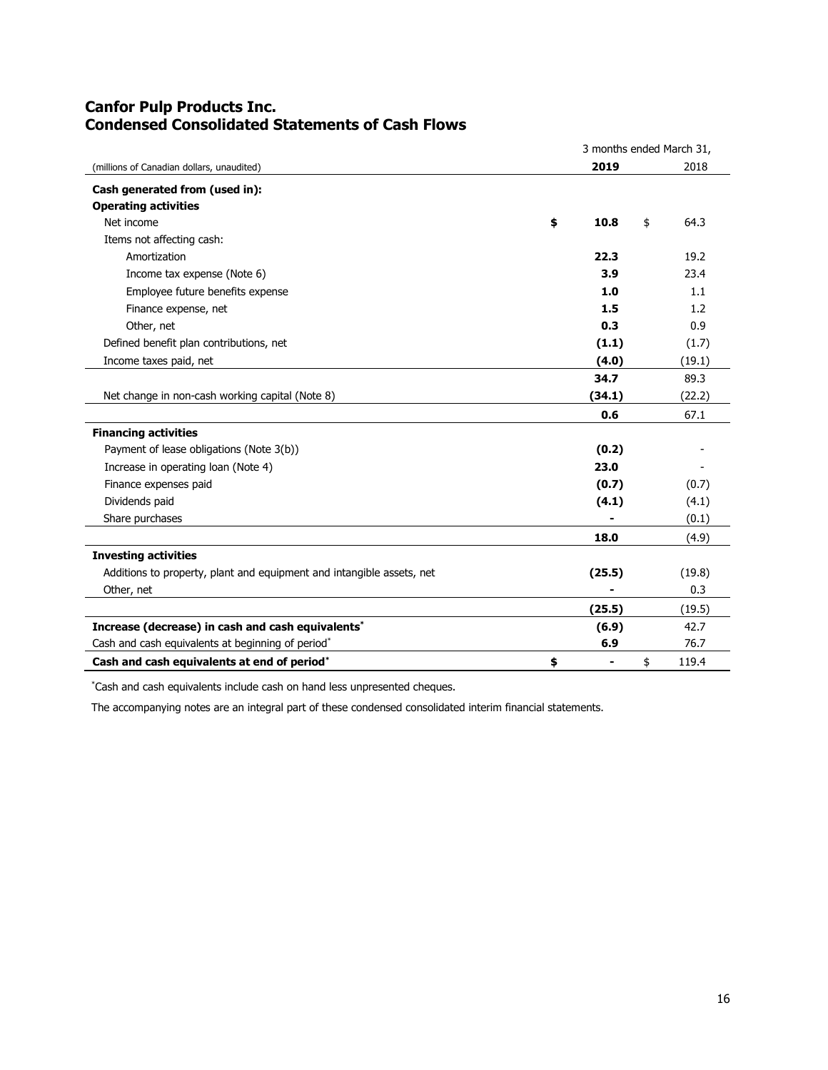# **Canfor Pulp Products Inc. Condensed Consolidated Statements of Cash Flows**

|                                                                       | 3 months ended March 31,       |    |        |  |
|-----------------------------------------------------------------------|--------------------------------|----|--------|--|
| (millions of Canadian dollars, unaudited)                             | 2019                           |    | 2018   |  |
| Cash generated from (used in):                                        |                                |    |        |  |
| <b>Operating activities</b>                                           |                                |    |        |  |
| Net income                                                            | \$<br>10.8                     | \$ | 64.3   |  |
| Items not affecting cash:                                             |                                |    |        |  |
| Amortization                                                          | 22.3                           |    | 19.2   |  |
| Income tax expense (Note 6)                                           | 3.9                            |    | 23.4   |  |
| Employee future benefits expense                                      | 1.0                            |    | 1.1    |  |
| Finance expense, net                                                  | 1.5                            |    | 1.2    |  |
| Other, net                                                            | 0.3                            |    | 0.9    |  |
| Defined benefit plan contributions, net                               | (1.1)                          |    | (1.7)  |  |
| Income taxes paid, net                                                | (4.0)                          |    | (19.1) |  |
|                                                                       | 34.7                           |    | 89.3   |  |
| Net change in non-cash working capital (Note 8)                       | (34.1)                         |    | (22.2) |  |
|                                                                       | 0.6                            |    | 67.1   |  |
| <b>Financing activities</b>                                           |                                |    |        |  |
| Payment of lease obligations (Note 3(b))                              | (0.2)                          |    |        |  |
| Increase in operating loan (Note 4)                                   | 23.0                           |    |        |  |
| Finance expenses paid                                                 | (0.7)                          |    | (0.7)  |  |
| Dividends paid                                                        | (4.1)                          |    | (4.1)  |  |
| Share purchases                                                       |                                |    | (0.1)  |  |
|                                                                       | 18.0                           |    | (4.9)  |  |
| <b>Investing activities</b>                                           |                                |    |        |  |
| Additions to property, plant and equipment and intangible assets, net | (25.5)                         |    | (19.8) |  |
| Other, net                                                            |                                |    | 0.3    |  |
|                                                                       | (25.5)                         |    | (19.5) |  |
| Increase (decrease) in cash and cash equivalents*                     | (6.9)                          |    | 42.7   |  |
| Cash and cash equivalents at beginning of period*                     | 6.9                            |    | 76.7   |  |
| Cash and cash equivalents at end of period*                           | \$<br>$\overline{\phantom{0}}$ | \$ | 119.4  |  |

\*Cash and cash equivalents include cash on hand less unpresented cheques.

The accompanying notes are an integral part of these condensed consolidated interim financial statements.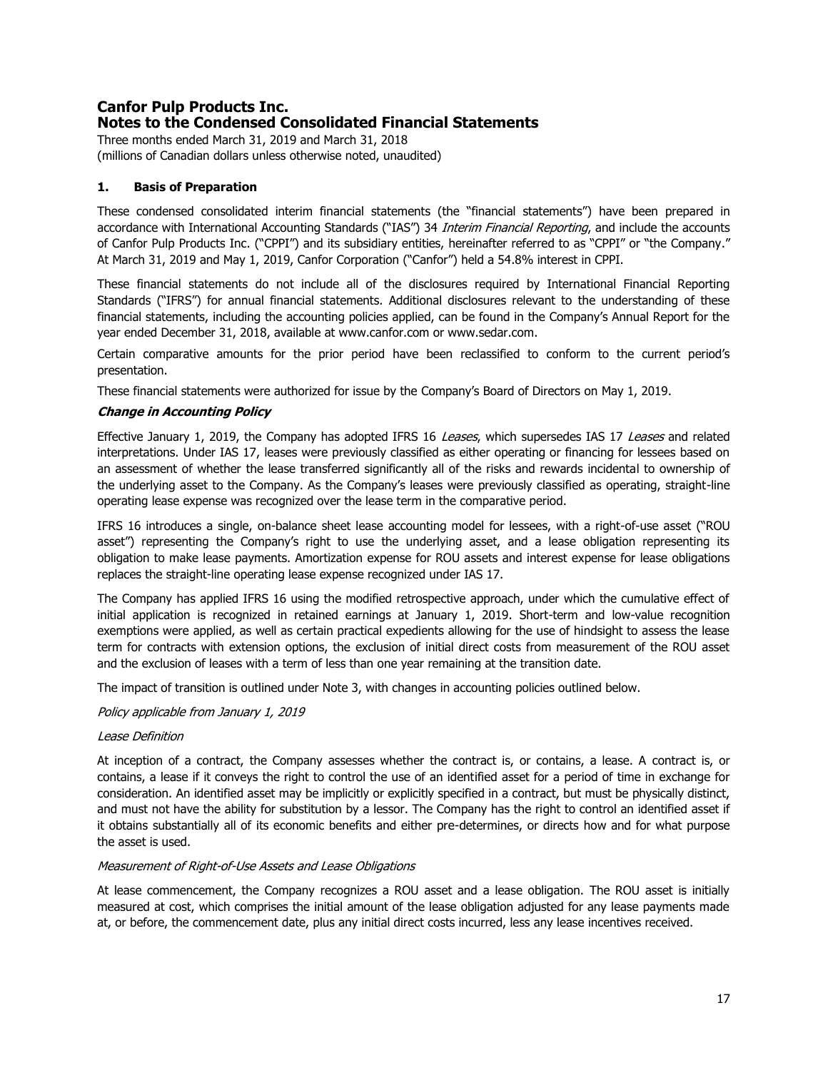# **Canfor Pulp Products Inc. Notes to the Condensed Consolidated Financial Statements**

Three months ended March 31, 2019 and March 31, 2018 (millions of Canadian dollars unless otherwise noted, unaudited)

# **1. Basis of Preparation**

These condensed consolidated interim financial statements (the "financial statements") have been prepared in accordance with International Accounting Standards ("IAS") 34 Interim Financial Reporting, and include the accounts of Canfor Pulp Products Inc. ("CPPI") and its subsidiary entities, hereinafter referred to as "CPPI" or "the Company." At March 31, 2019 and May 1, 2019, Canfor Corporation ("Canfor") held a 54.8% interest in CPPI.

These financial statements do not include all of the disclosures required by International Financial Reporting Standards ("IFRS") for annual financial statements. Additional disclosures relevant to the understanding of these financial statements, including the accounting policies applied, can be found in the Company's Annual Report for the year ended December 31, 2018, available at www.canfor.com or www.sedar.com.

Certain comparative amounts for the prior period have been reclassified to conform to the current period's presentation.

These financial statements were authorized for issue by the Company's Board of Directors on May 1, 2019.

# **Change in Accounting Policy**

Effective January 1, 2019, the Company has adopted IFRS 16 Leases, which supersedes IAS 17 Leases and related interpretations. Under IAS 17, leases were previously classified as either operating or financing for lessees based on an assessment of whether the lease transferred significantly all of the risks and rewards incidental to ownership of the underlying asset to the Company. As the Company's leases were previously classified as operating, straight-line operating lease expense was recognized over the lease term in the comparative period.

IFRS 16 introduces a single, on-balance sheet lease accounting model for lessees, with a right-of-use asset ("ROU asset") representing the Company's right to use the underlying asset, and a lease obligation representing its obligation to make lease payments. Amortization expense for ROU assets and interest expense for lease obligations replaces the straight-line operating lease expense recognized under IAS 17.

The Company has applied IFRS 16 using the modified retrospective approach, under which the cumulative effect of initial application is recognized in retained earnings at January 1, 2019. Short-term and low-value recognition exemptions were applied, as well as certain practical expedients allowing for the use of hindsight to assess the lease term for contracts with extension options, the exclusion of initial direct costs from measurement of the ROU asset and the exclusion of leases with a term of less than one year remaining at the transition date.

The impact of transition is outlined under Note 3, with changes in accounting policies outlined below.

# Policy applicable from January 1, 2019

# Lease Definition

At inception of a contract, the Company assesses whether the contract is, or contains, a lease. A contract is, or contains, a lease if it conveys the right to control the use of an identified asset for a period of time in exchange for consideration. An identified asset may be implicitly or explicitly specified in a contract, but must be physically distinct, and must not have the ability for substitution by a lessor. The Company has the right to control an identified asset if it obtains substantially all of its economic benefits and either pre-determines, or directs how and for what purpose the asset is used.

# Measurement of Right-of-Use Assets and Lease Obligations

At lease commencement, the Company recognizes a ROU asset and a lease obligation. The ROU asset is initially measured at cost, which comprises the initial amount of the lease obligation adjusted for any lease payments made at, or before, the commencement date, plus any initial direct costs incurred, less any lease incentives received.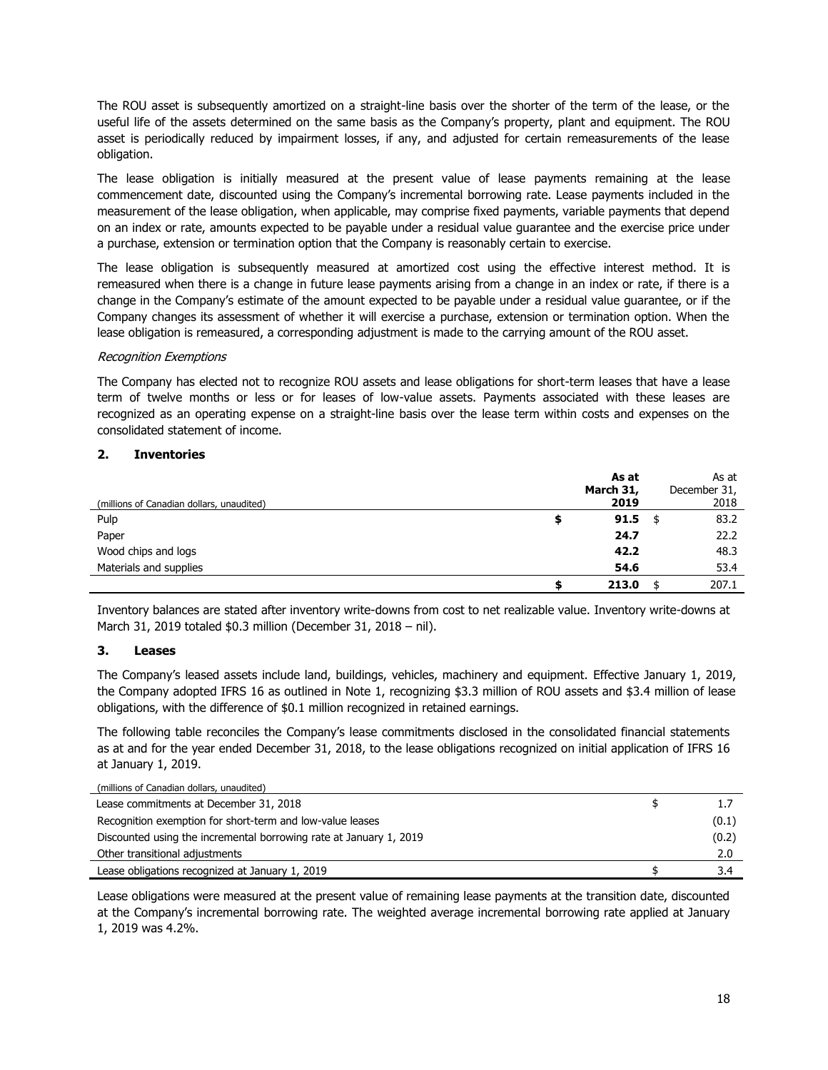The ROU asset is subsequently amortized on a straight-line basis over the shorter of the term of the lease, or the useful life of the assets determined on the same basis as the Company's property, plant and equipment. The ROU asset is periodically reduced by impairment losses, if any, and adjusted for certain remeasurements of the lease obligation.

The lease obligation is initially measured at the present value of lease payments remaining at the lease commencement date, discounted using the Company's incremental borrowing rate. Lease payments included in the measurement of the lease obligation, when applicable, may comprise fixed payments, variable payments that depend on an index or rate, amounts expected to be payable under a residual value guarantee and the exercise price under a purchase, extension or termination option that the Company is reasonably certain to exercise.

The lease obligation is subsequently measured at amortized cost using the effective interest method. It is remeasured when there is a change in future lease payments arising from a change in an index or rate, if there is a change in the Company's estimate of the amount expected to be payable under a residual value guarantee, or if the Company changes its assessment of whether it will exercise a purchase, extension or termination option. When the lease obligation is remeasured, a corresponding adjustment is made to the carrying amount of the ROU asset.

# Recognition Exemptions

The Company has elected not to recognize ROU assets and lease obligations for short-term leases that have a lease term of twelve months or less or for leases of low-value assets. Payments associated with these leases are recognized as an operating expense on a straight-line basis over the lease term within costs and expenses on the consolidated statement of income.

# **2. Inventories**

|                                           |   | As at     |      | As at        |
|-------------------------------------------|---|-----------|------|--------------|
|                                           |   | March 31, |      | December 31, |
| (millions of Canadian dollars, unaudited) |   | 2019      |      | 2018         |
| Pulp                                      | ≖ | 91.5      | - \$ | 83.2         |
| Paper                                     |   | 24.7      |      | 22.2         |
| Wood chips and logs                       |   | 42.2      |      | 48.3         |
| Materials and supplies                    |   | 54.6      |      | 53.4         |
|                                           |   | 213.0     |      | 207.1        |

Inventory balances are stated after inventory write-downs from cost to net realizable value. Inventory write-downs at March 31, 2019 totaled \$0.3 million (December 31, 2018 – nil).

#### **3. Leases**

The Company's leased assets include land, buildings, vehicles, machinery and equipment. Effective January 1, 2019, the Company adopted IFRS 16 as outlined in Note 1, recognizing \$3.3 million of ROU assets and \$3.4 million of lease obligations, with the difference of \$0.1 million recognized in retained earnings.

The following table reconciles the Company's lease commitments disclosed in the consolidated financial statements as at and for the year ended December 31, 2018, to the lease obligations recognized on initial application of IFRS 16 at January 1, 2019.

|  |  | (millions of Canadian dollars, unaudited) |  |
|--|--|-------------------------------------------|--|
|  |  |                                           |  |

| Lease commitments at December 31, 2018                             |       |
|--------------------------------------------------------------------|-------|
| Recognition exemption for short-term and low-value leases          | (0.1) |
| Discounted using the incremental borrowing rate at January 1, 2019 | (0.2) |
| Other transitional adjustments                                     | 2.0   |
| Lease obligations recognized at January 1, 2019                    | 3.4   |

Lease obligations were measured at the present value of remaining lease payments at the transition date, discounted at the Company's incremental borrowing rate. The weighted average incremental borrowing rate applied at January 1, 2019 was 4.2%.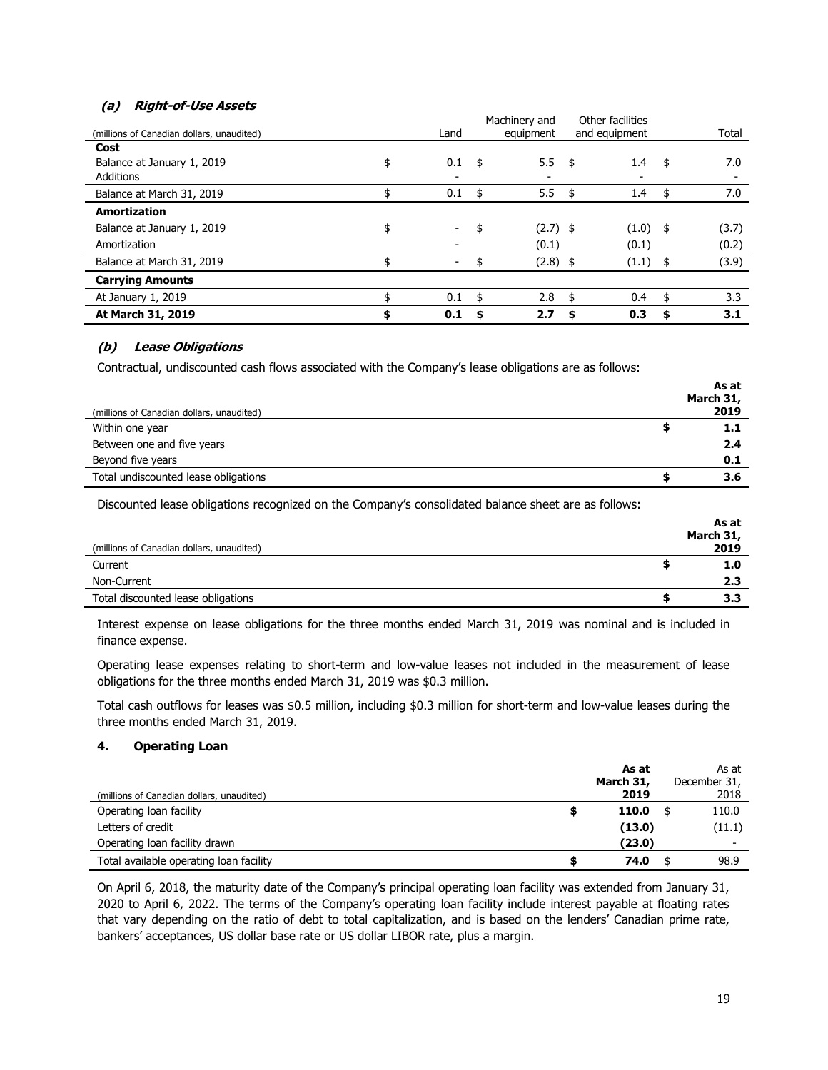# **(a) Right-of-Use Assets**

|                                           |                                | Machinery and    |      | Other facilities |    |       |
|-------------------------------------------|--------------------------------|------------------|------|------------------|----|-------|
| (millions of Canadian dollars, unaudited) | Land                           | equipment        |      | and equipment    |    | Total |
| Cost                                      |                                |                  |      |                  |    |       |
| Balance at January 1, 2019                | \$<br>0.1                      | \$<br>5.5        | -\$  | 1.4              | \$ | 7.0   |
| <b>Additions</b>                          |                                |                  |      |                  |    |       |
| Balance at March 31, 2019                 | \$<br>0.1                      | \$<br>5.5        | - \$ | 1.4              | \$ | 7.0   |
| <b>Amortization</b>                       |                                |                  |      |                  |    |       |
| Balance at January 1, 2019                | \$<br>$\overline{\phantom{a}}$ | \$<br>$(2.7)$ \$ |      | (1.0)            | \$ | (3.7) |
| Amortization                              |                                | (0.1)            |      | (0.1)            |    | (0.2) |
| Balance at March 31, 2019                 |                                | $(2.8)$ \$       |      | (1.1)            | \$ | (3.9) |
| <b>Carrying Amounts</b>                   |                                |                  |      |                  |    |       |
| At January 1, 2019                        | 0.1                            | \$<br>2.8        | \$   | 0.4              | \$ | 3.3   |
| At March 31, 2019                         | \$<br>0.1                      | \$<br>2.7        | S    | 0.3              | S  | 3.1   |

# **(b) Lease Obligations**

Contractual, undiscounted cash flows associated with the Company's lease obligations are as follows:

|                                           | As at     |
|-------------------------------------------|-----------|
|                                           | March 31, |
| (millions of Canadian dollars, unaudited) | 2019      |
| Within one year<br>ш                      |           |
| Between one and five years                | 2.4       |
| Beyond five years                         | 0.1       |
| Total undiscounted lease obligations      | 3.6       |

Discounted lease obligations recognized on the Company's consolidated balance sheet are as follows:

|                                           | As at     |
|-------------------------------------------|-----------|
|                                           | March 31, |
| (millions of Canadian dollars, unaudited) | 2019      |
| Current                                   | 1.0       |
| Non-Current                               | 2.3       |
| Total discounted lease obligations        | 3.3       |

Interest expense on lease obligations for the three months ended March 31, 2019 was nominal and is included in finance expense.

Operating lease expenses relating to short-term and low-value leases not included in the measurement of lease obligations for the three months ended March 31, 2019 was \$0.3 million.

Total cash outflows for leases was \$0.5 million, including \$0.3 million for short-term and low-value leases during the three months ended March 31, 2019.

# **4. Operating Loan**

|                                           | As at     | As at        |
|-------------------------------------------|-----------|--------------|
|                                           | March 31, | December 31, |
| (millions of Canadian dollars, unaudited) | 2019      | 2018         |
| Operating loan facility                   | 110.0     | 110.0        |
| Letters of credit                         | (13.0)    | (11.1)       |
| Operating loan facility drawn             | (23.0)    | -            |
| Total available operating loan facility   | 74.0      | 98.9         |

On April 6, 2018, the maturity date of the Company's principal operating loan facility was extended from January 31, 2020 to April 6, 2022. The terms of the Company's operating loan facility include interest payable at floating rates that vary depending on the ratio of debt to total capitalization, and is based on the lenders' Canadian prime rate, bankers' acceptances, US dollar base rate or US dollar LIBOR rate, plus a margin.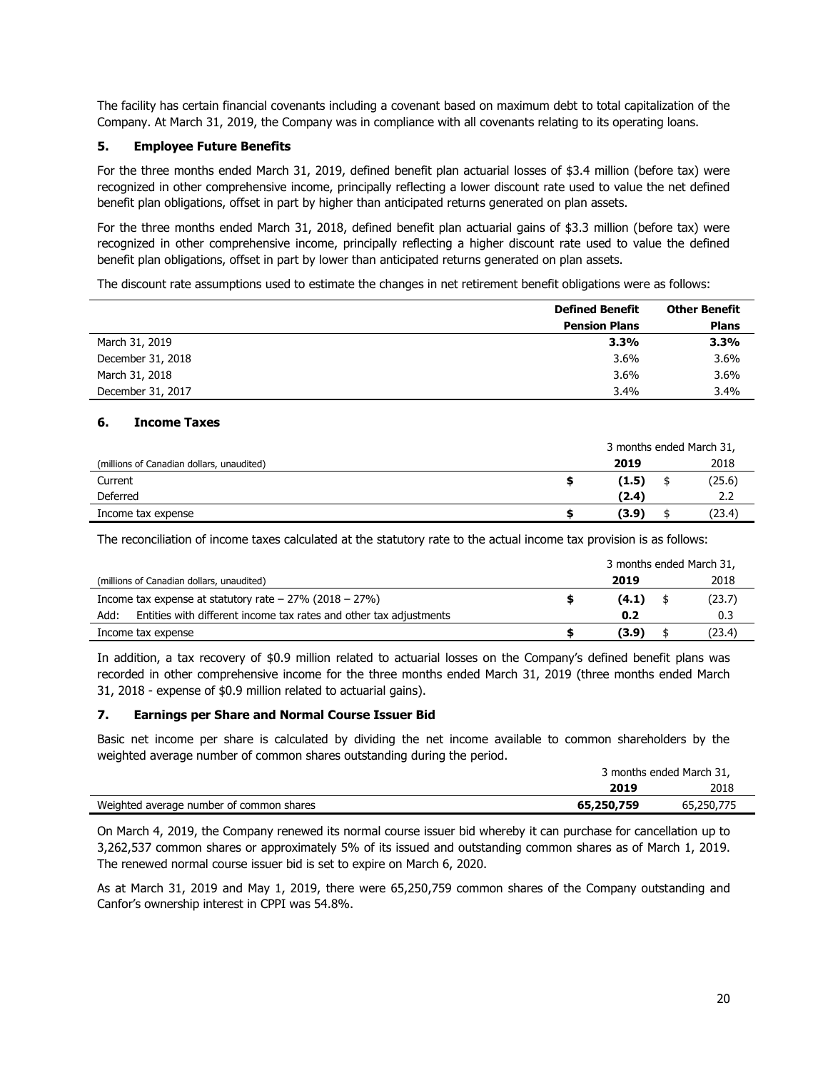The facility has certain financial covenants including a covenant based on maximum debt to total capitalization of the Company. At March 31, 2019, the Company was in compliance with all covenants relating to its operating loans.

# **5. Employee Future Benefits**

For the three months ended March 31, 2019, defined benefit plan actuarial losses of \$3.4 million (before tax) were recognized in other comprehensive income, principally reflecting a lower discount rate used to value the net defined benefit plan obligations, offset in part by higher than anticipated returns generated on plan assets.

For the three months ended March 31, 2018, defined benefit plan actuarial gains of \$3.3 million (before tax) were recognized in other comprehensive income, principally reflecting a higher discount rate used to value the defined benefit plan obligations, offset in part by lower than anticipated returns generated on plan assets.

The discount rate assumptions used to estimate the changes in net retirement benefit obligations were as follows:

|                   | <b>Defined Benefit</b> | <b>Other Benefit</b> |
|-------------------|------------------------|----------------------|
|                   | <b>Pension Plans</b>   | <b>Plans</b>         |
| March 31, 2019    | 3.3%                   | 3.3%                 |
| December 31, 2018 | $3.6\%$                | 3.6%                 |
| March 31, 2018    | 3.6%                   | 3.6%                 |
| December 31, 2017 | 3.4%                   | 3.4%                 |

# **6. Income Taxes**

|                                           | 3 months ended March 31, |  |        |  |
|-------------------------------------------|--------------------------|--|--------|--|
| (millions of Canadian dollars, unaudited) | 2019                     |  | 2018   |  |
| Current                                   | (1.5)                    |  | (25.6) |  |
| Deferred                                  | (2.4)                    |  | 2.2    |  |
| Income tax expense                        | (3.9)                    |  | (23.4) |  |

The reconciliation of income taxes calculated at the statutory rate to the actual income tax provision is as follows:

|                                                                            | 3 months ended March 31, |       |  |        |  |
|----------------------------------------------------------------------------|--------------------------|-------|--|--------|--|
| (millions of Canadian dollars, unaudited)                                  |                          | 2019  |  | 2018   |  |
| Income tax expense at statutory rate $-27\%$ (2018 $-27\%$ )               |                          | (4.1) |  | (23.7) |  |
| Entities with different income tax rates and other tax adjustments<br>Add: |                          | 0.2   |  | 0.3    |  |
| Income tax expense                                                         |                          | (3.9) |  | (23.4) |  |

In addition, a tax recovery of \$0.9 million related to actuarial losses on the Company's defined benefit plans was recorded in other comprehensive income for the three months ended March 31, 2019 (three months ended March 31, 2018 - expense of \$0.9 million related to actuarial gains).

# **7. Earnings per Share and Normal Course Issuer Bid**

Basic net income per share is calculated by dividing the net income available to common shareholders by the weighted average number of common shares outstanding during the period.

|                                          |            | 3 months ended March 31, |  |  |  |
|------------------------------------------|------------|--------------------------|--|--|--|
|                                          | 2019       | 2018                     |  |  |  |
| Weighted average number of common shares | 65,250,759 | 65,250,775               |  |  |  |

On March 4, 2019, the Company renewed its normal course issuer bid whereby it can purchase for cancellation up to 3,262,537 common shares or approximately 5% of its issued and outstanding common shares as of March 1, 2019. The renewed normal course issuer bid is set to expire on March 6, 2020.

As at March 31, 2019 and May 1, 2019, there were 65,250,759 common shares of the Company outstanding and Canfor's ownership interest in CPPI was 54.8%.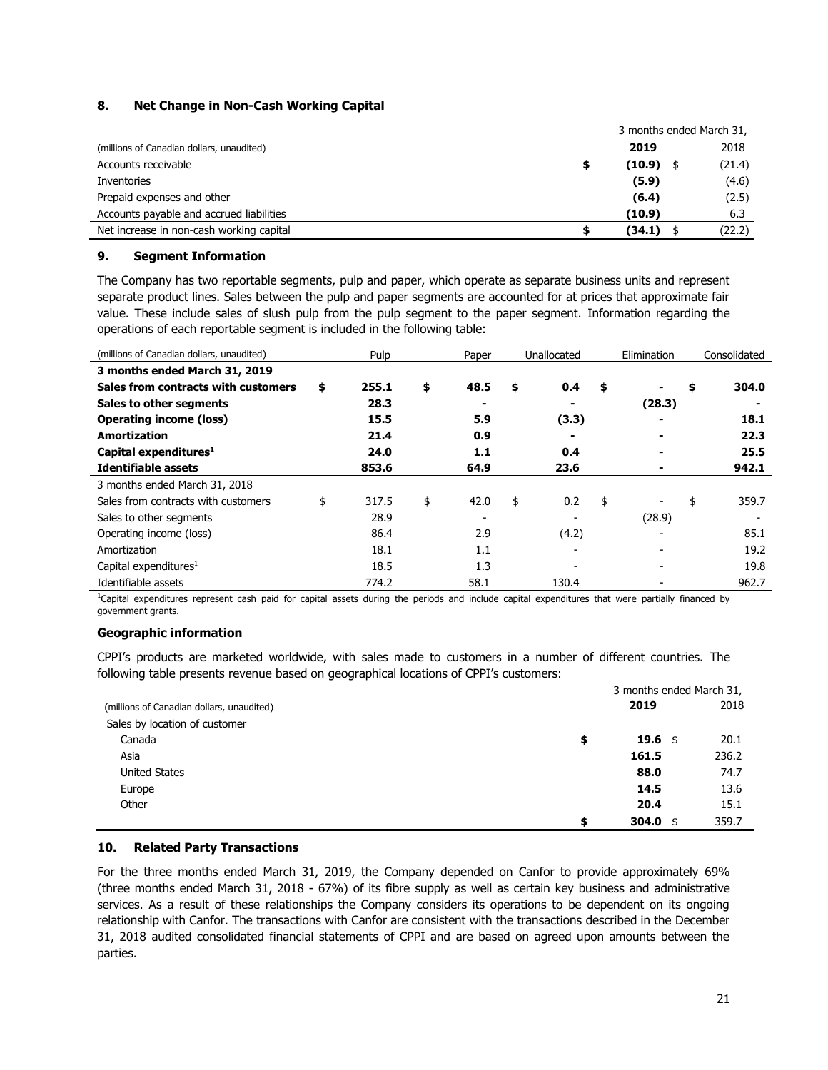# **8. Net Change in Non-Cash Working Capital**

|                                           | 3 months ended March 31, |        |  |
|-------------------------------------------|--------------------------|--------|--|
| (millions of Canadian dollars, unaudited) | 2019                     | 2018   |  |
| Accounts receivable                       | $(10.9)$ \$              | (21.4) |  |
| Inventories                               | (5.9)                    | (4.6)  |  |
| Prepaid expenses and other                | (6.4)                    | (2.5)  |  |
| Accounts payable and accrued liabilities  | (10.9)                   | 6.3    |  |
| Net increase in non-cash working capital  | (34.1)                   | (22.2) |  |

# **9. Segment Information**

The Company has two reportable segments, pulp and paper, which operate as separate business units and represent separate product lines. Sales between the pulp and paper segments are accounted for at prices that approximate fair value. These include sales of slush pulp from the pulp segment to the paper segment. Information regarding the operations of each reportable segment is included in the following table:

| (millions of Canadian dollars, unaudited) | Pulp        | Paper      | Unallocated |    | Elimination | Consolidated |
|-------------------------------------------|-------------|------------|-------------|----|-------------|--------------|
| 3 months ended March 31, 2019             |             |            |             |    |             |              |
| Sales from contracts with customers       | \$<br>255.1 | \$<br>48.5 | \$<br>0.4   | \$ | ۰           | \$<br>304.0  |
| Sales to other segments                   | 28.3        |            |             |    | (28.3)      |              |
| <b>Operating income (loss)</b>            | 15.5        | 5.9        | (3.3)       |    |             | 18.1         |
| <b>Amortization</b>                       | 21.4        | 0.9        |             |    |             | 22.3         |
| Capital expenditures <sup>1</sup>         | 24.0        | 1.1        | 0.4         |    |             | 25.5         |
| Identifiable assets                       | 853.6       | 64.9       | 23.6        |    |             | 942.1        |
| 3 months ended March 31, 2018             |             |            |             |    |             |              |
| Sales from contracts with customers       | \$<br>317.5 | \$<br>42.0 | \$<br>0.2   | \$ |             | \$<br>359.7  |
| Sales to other segments                   | 28.9        |            |             |    | (28.9)      |              |
| Operating income (loss)                   | 86.4        | 2.9        | (4.2)       |    |             | 85.1         |
| Amortization                              | 18.1        | 1.1        |             |    |             | 19.2         |
| Capital expenditures <sup>1</sup>         | 18.5        | 1.3        |             |    |             | 19.8         |
| Identifiable assets                       | 774.2       | 58.1       | 130.4       |    |             | 962.7        |

<sup>1</sup>Capital expenditures represent cash paid for capital assets during the periods and include capital expenditures that were partially financed by government grants.

# **Geographic information**

CPPI's products are marketed worldwide, with sales made to customers in a number of different countries. The following table presents revenue based on geographical locations of CPPI's customers:

|                                           | 3 months ended March 31, |               |       |  |  |
|-------------------------------------------|--------------------------|---------------|-------|--|--|
| (millions of Canadian dollars, unaudited) |                          | 2019          | 2018  |  |  |
| Sales by location of customer             |                          |               |       |  |  |
| Canada                                    | \$                       | 19.6 \$       | 20.1  |  |  |
| Asia                                      |                          | 161.5         | 236.2 |  |  |
| <b>United States</b>                      |                          | 88.0          | 74.7  |  |  |
| Europe                                    |                          | 14.5          | 13.6  |  |  |
| Other                                     |                          | 20.4          | 15.1  |  |  |
|                                           | \$                       | 304.0<br>- \$ | 359.7 |  |  |

# **10. Related Party Transactions**

For the three months ended March 31, 2019, the Company depended on Canfor to provide approximately 69% (three months ended March 31, 2018 - 67%) of its fibre supply as well as certain key business and administrative services. As a result of these relationships the Company considers its operations to be dependent on its ongoing relationship with Canfor. The transactions with Canfor are consistent with the transactions described in the December 31, 2018 audited consolidated financial statements of CPPI and are based on agreed upon amounts between the parties.